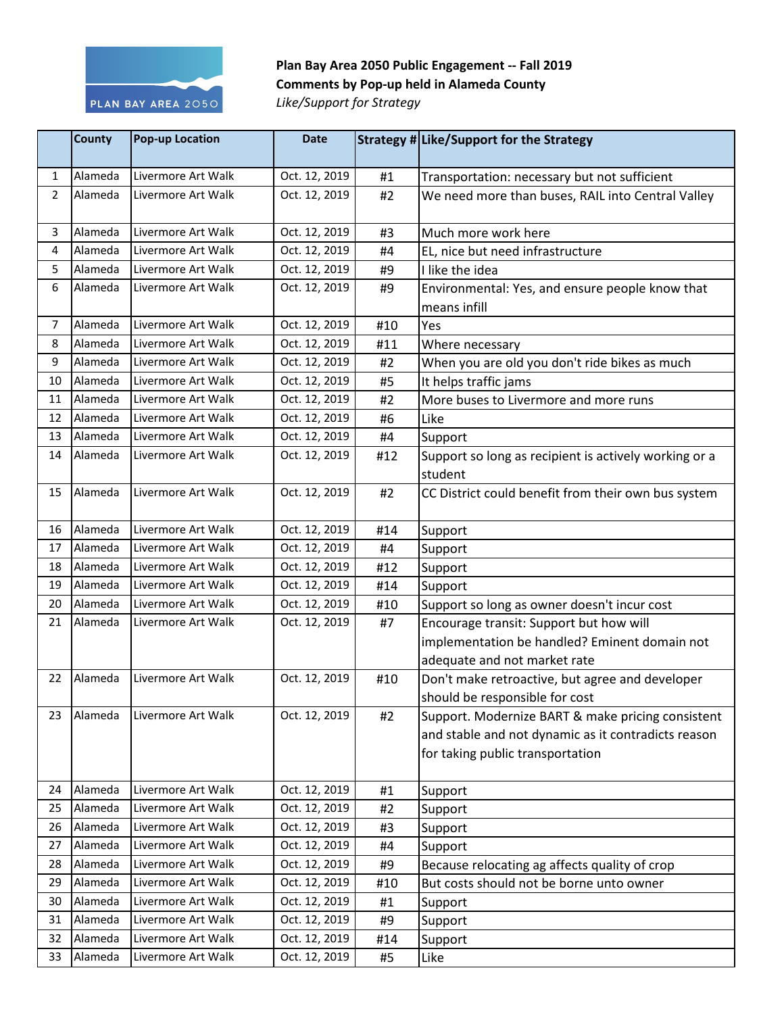

## **Plan Bay Area 2050 Public Engagement -- Fall 2019 Comments by Pop-up held in Alameda County**

*Like/Support for Strategy*

|                | <b>County</b> | <b>Pop-up Location</b> | <b>Date</b>   |     | Strategy # Like/Support for the Strategy                                                                                                     |
|----------------|---------------|------------------------|---------------|-----|----------------------------------------------------------------------------------------------------------------------------------------------|
| $\mathbf{1}$   | Alameda       | Livermore Art Walk     | Oct. 12, 2019 | #1  | Transportation: necessary but not sufficient                                                                                                 |
| $\overline{2}$ | Alameda       | Livermore Art Walk     | Oct. 12, 2019 | #2  | We need more than buses, RAIL into Central Valley                                                                                            |
| 3              | Alameda       | Livermore Art Walk     | Oct. 12, 2019 | #3  | Much more work here                                                                                                                          |
| 4              | Alameda       | Livermore Art Walk     | Oct. 12, 2019 | #4  | EL, nice but need infrastructure                                                                                                             |
| 5              | Alameda       | Livermore Art Walk     | Oct. 12, 2019 | #9  | I like the idea                                                                                                                              |
| 6              | Alameda       | Livermore Art Walk     | Oct. 12, 2019 | #9  | Environmental: Yes, and ensure people know that<br>means infill                                                                              |
| $\overline{7}$ | Alameda       | Livermore Art Walk     | Oct. 12, 2019 | #10 | Yes                                                                                                                                          |
| 8              | Alameda       | Livermore Art Walk     | Oct. 12, 2019 | #11 | Where necessary                                                                                                                              |
| 9              | Alameda       | Livermore Art Walk     | Oct. 12, 2019 | #2  | When you are old you don't ride bikes as much                                                                                                |
| 10             | Alameda       | Livermore Art Walk     | Oct. 12, 2019 | #5  | It helps traffic jams                                                                                                                        |
| 11             | Alameda       | Livermore Art Walk     | Oct. 12, 2019 | #2  | More buses to Livermore and more runs                                                                                                        |
| 12             | Alameda       | Livermore Art Walk     | Oct. 12, 2019 | #6  | Like                                                                                                                                         |
| 13             | Alameda       | Livermore Art Walk     | Oct. 12, 2019 | #4  | Support                                                                                                                                      |
| 14             | Alameda       | Livermore Art Walk     | Oct. 12, 2019 | #12 | Support so long as recipient is actively working or a<br>student                                                                             |
| 15             | Alameda       | Livermore Art Walk     | Oct. 12, 2019 | #2  | CC District could benefit from their own bus system                                                                                          |
| 16             | Alameda       | Livermore Art Walk     | Oct. 12, 2019 | #14 | Support                                                                                                                                      |
| 17             | Alameda       | Livermore Art Walk     | Oct. 12, 2019 | #4  | Support                                                                                                                                      |
| 18             | Alameda       | Livermore Art Walk     | Oct. 12, 2019 | #12 | Support                                                                                                                                      |
| 19             | Alameda       | Livermore Art Walk     | Oct. 12, 2019 | #14 | Support                                                                                                                                      |
| 20             | Alameda       | Livermore Art Walk     | Oct. 12, 2019 | #10 | Support so long as owner doesn't incur cost                                                                                                  |
| 21             | Alameda       | Livermore Art Walk     | Oct. 12, 2019 | #7  | Encourage transit: Support but how will<br>implementation be handled? Eminent domain not<br>adequate and not market rate                     |
| 22             | Alameda       | Livermore Art Walk     | Oct. 12, 2019 | #10 | Don't make retroactive, but agree and developer<br>should be responsible for cost                                                            |
| 23             | Alameda       | Livermore Art Walk     | Oct. 12, 2019 | #2  | Support. Modernize BART & make pricing consistent<br>and stable and not dynamic as it contradicts reason<br>for taking public transportation |
| 24             | Alameda       | Livermore Art Walk     | Oct. 12, 2019 | #1  | Support                                                                                                                                      |
| 25             | Alameda       | Livermore Art Walk     | Oct. 12, 2019 | #2  | Support                                                                                                                                      |
| 26             | Alameda       | Livermore Art Walk     | Oct. 12, 2019 | #3  | Support                                                                                                                                      |
| 27             | Alameda       | Livermore Art Walk     | Oct. 12, 2019 | #4  | Support                                                                                                                                      |
| 28             | Alameda       | Livermore Art Walk     | Oct. 12, 2019 | #9  | Because relocating ag affects quality of crop                                                                                                |
| 29             | Alameda       | Livermore Art Walk     | Oct. 12, 2019 | #10 | But costs should not be borne unto owner                                                                                                     |
| 30             | Alameda       | Livermore Art Walk     | Oct. 12, 2019 | #1  | Support                                                                                                                                      |
| 31             | Alameda       | Livermore Art Walk     | Oct. 12, 2019 | #9  | Support                                                                                                                                      |
| 32             | Alameda       | Livermore Art Walk     | Oct. 12, 2019 | #14 | Support                                                                                                                                      |
| 33             | Alameda       | Livermore Art Walk     | Oct. 12, 2019 | #5  | Like                                                                                                                                         |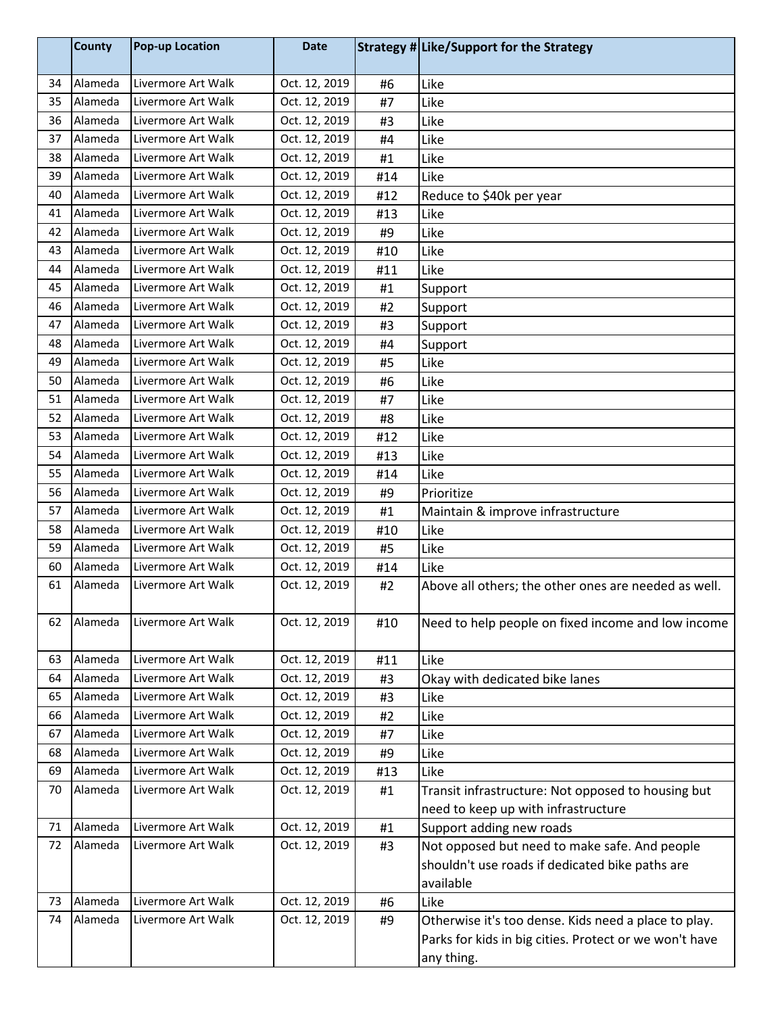|    | <b>County</b> | <b>Pop-up Location</b> | <b>Date</b>   |     | Strategy # Like/Support for the Strategy               |
|----|---------------|------------------------|---------------|-----|--------------------------------------------------------|
| 34 | Alameda       | Livermore Art Walk     | Oct. 12, 2019 | #6  | Like                                                   |
| 35 | Alameda       | Livermore Art Walk     | Oct. 12, 2019 | #7  | Like                                                   |
| 36 | Alameda       | Livermore Art Walk     | Oct. 12, 2019 | #3  | Like                                                   |
| 37 | Alameda       | Livermore Art Walk     | Oct. 12, 2019 | #4  | Like                                                   |
| 38 | Alameda       | Livermore Art Walk     | Oct. 12, 2019 | #1  | Like                                                   |
| 39 | Alameda       | Livermore Art Walk     | Oct. 12, 2019 | #14 | Like                                                   |
| 40 | Alameda       | Livermore Art Walk     | Oct. 12, 2019 | #12 | Reduce to \$40k per year                               |
| 41 | Alameda       | Livermore Art Walk     | Oct. 12, 2019 | #13 | Like                                                   |
| 42 | Alameda       | Livermore Art Walk     | Oct. 12, 2019 | #9  | Like                                                   |
| 43 | Alameda       | Livermore Art Walk     | Oct. 12, 2019 | #10 | Like                                                   |
| 44 | Alameda       | Livermore Art Walk     | Oct. 12, 2019 | #11 | Like                                                   |
| 45 | Alameda       | Livermore Art Walk     | Oct. 12, 2019 | #1  | Support                                                |
| 46 | Alameda       | Livermore Art Walk     | Oct. 12, 2019 | #2  | Support                                                |
| 47 | Alameda       | Livermore Art Walk     | Oct. 12, 2019 | #3  | Support                                                |
| 48 | Alameda       | Livermore Art Walk     | Oct. 12, 2019 | #4  | Support                                                |
| 49 | Alameda       | Livermore Art Walk     | Oct. 12, 2019 | #5  | Like                                                   |
| 50 | Alameda       | Livermore Art Walk     | Oct. 12, 2019 | #6  | Like                                                   |
| 51 | Alameda       | Livermore Art Walk     | Oct. 12, 2019 | #7  | Like                                                   |
| 52 | Alameda       | Livermore Art Walk     | Oct. 12, 2019 | #8  | Like                                                   |
| 53 | Alameda       | Livermore Art Walk     | Oct. 12, 2019 | #12 | Like                                                   |
| 54 | Alameda       | Livermore Art Walk     | Oct. 12, 2019 | #13 | Like                                                   |
| 55 | Alameda       | Livermore Art Walk     | Oct. 12, 2019 | #14 | Like                                                   |
| 56 | Alameda       | Livermore Art Walk     | Oct. 12, 2019 | #9  | Prioritize                                             |
| 57 | Alameda       | Livermore Art Walk     | Oct. 12, 2019 | #1  | Maintain & improve infrastructure                      |
| 58 | Alameda       | Livermore Art Walk     | Oct. 12, 2019 | #10 | Like                                                   |
| 59 | Alameda       | Livermore Art Walk     | Oct. 12, 2019 | #5  | Like                                                   |
| 60 | Alameda       | Livermore Art Walk     | Oct. 12, 2019 | #14 | Like                                                   |
| 61 | Alameda       | Livermore Art Walk     | Oct. 12, 2019 | #2  | Above all others; the other ones are needed as well.   |
| 62 | Alameda       | Livermore Art Walk     | Oct. 12, 2019 | #10 | Need to help people on fixed income and low income     |
| 63 | Alameda       | Livermore Art Walk     | Oct. 12, 2019 | #11 | Like                                                   |
| 64 | Alameda       | Livermore Art Walk     | Oct. 12, 2019 | #3  | Okay with dedicated bike lanes                         |
| 65 | Alameda       | Livermore Art Walk     | Oct. 12, 2019 | #3  | Like                                                   |
| 66 | Alameda       | Livermore Art Walk     | Oct. 12, 2019 | #2  | Like                                                   |
| 67 | Alameda       | Livermore Art Walk     | Oct. 12, 2019 | #7  | Like                                                   |
| 68 | Alameda       | Livermore Art Walk     | Oct. 12, 2019 | #9  | Like                                                   |
| 69 | Alameda       | Livermore Art Walk     | Oct. 12, 2019 | #13 | Like                                                   |
| 70 | Alameda       | Livermore Art Walk     | Oct. 12, 2019 | #1  | Transit infrastructure: Not opposed to housing but     |
|    |               |                        |               |     | need to keep up with infrastructure                    |
| 71 | Alameda       | Livermore Art Walk     | Oct. 12, 2019 | #1  | Support adding new roads                               |
| 72 | Alameda       | Livermore Art Walk     | Oct. 12, 2019 | #3  | Not opposed but need to make safe. And people          |
|    |               |                        |               |     | shouldn't use roads if dedicated bike paths are        |
|    |               |                        |               |     | available                                              |
| 73 | Alameda       | Livermore Art Walk     | Oct. 12, 2019 | #6  | Like                                                   |
| 74 | Alameda       | Livermore Art Walk     | Oct. 12, 2019 | #9  | Otherwise it's too dense. Kids need a place to play.   |
|    |               |                        |               |     | Parks for kids in big cities. Protect or we won't have |
|    |               |                        |               |     | any thing.                                             |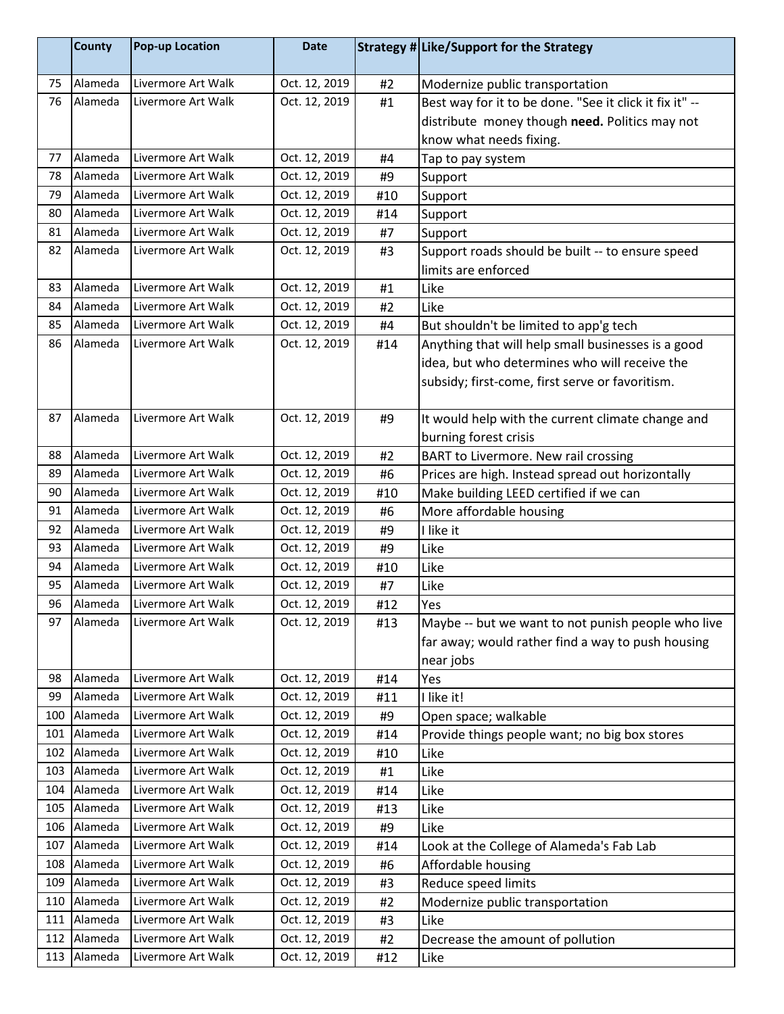|     | County  | <b>Pop-up Location</b> | <b>Date</b>   |     | Strategy # Like/Support for the Strategy                |
|-----|---------|------------------------|---------------|-----|---------------------------------------------------------|
| 75  | Alameda | Livermore Art Walk     | Oct. 12, 2019 | #2  | Modernize public transportation                         |
| 76  | Alameda | Livermore Art Walk     | Oct. 12, 2019 | #1  | Best way for it to be done. "See it click it fix it" -- |
|     |         |                        |               |     | distribute money though need. Politics may not          |
|     |         |                        |               |     | know what needs fixing.                                 |
| 77  | Alameda | Livermore Art Walk     | Oct. 12, 2019 | #4  | Tap to pay system                                       |
| 78  | Alameda | Livermore Art Walk     | Oct. 12, 2019 | #9  | Support                                                 |
| 79  | Alameda | Livermore Art Walk     | Oct. 12, 2019 | #10 | Support                                                 |
| 80  | Alameda | Livermore Art Walk     | Oct. 12, 2019 | #14 | Support                                                 |
| 81  | Alameda | Livermore Art Walk     | Oct. 12, 2019 | #7  | Support                                                 |
| 82  | Alameda | Livermore Art Walk     | Oct. 12, 2019 | #3  | Support roads should be built -- to ensure speed        |
|     |         |                        |               |     | limits are enforced                                     |
| 83  | Alameda | Livermore Art Walk     | Oct. 12, 2019 | #1  | Like                                                    |
| 84  | Alameda | Livermore Art Walk     | Oct. 12, 2019 | #2  | Like                                                    |
| 85  | Alameda | Livermore Art Walk     | Oct. 12, 2019 | #4  | But shouldn't be limited to app'g tech                  |
| 86  | Alameda | Livermore Art Walk     | Oct. 12, 2019 | #14 | Anything that will help small businesses is a good      |
|     |         |                        |               |     | idea, but who determines who will receive the           |
|     |         |                        |               |     | subsidy; first-come, first serve or favoritism.         |
|     |         |                        |               |     |                                                         |
| 87  | Alameda | Livermore Art Walk     | Oct. 12, 2019 | #9  | It would help with the current climate change and       |
|     |         |                        |               |     | burning forest crisis                                   |
| 88  | Alameda | Livermore Art Walk     | Oct. 12, 2019 | #2  | BART to Livermore. New rail crossing                    |
| 89  | Alameda | Livermore Art Walk     | Oct. 12, 2019 | #6  | Prices are high. Instead spread out horizontally        |
| 90  | Alameda | Livermore Art Walk     | Oct. 12, 2019 | #10 | Make building LEED certified if we can                  |
| 91  | Alameda | Livermore Art Walk     | Oct. 12, 2019 | #6  | More affordable housing                                 |
| 92  | Alameda | Livermore Art Walk     | Oct. 12, 2019 | #9  | I like it                                               |
| 93  | Alameda | Livermore Art Walk     | Oct. 12, 2019 | #9  | Like                                                    |
| 94  | Alameda | Livermore Art Walk     | Oct. 12, 2019 | #10 | Like                                                    |
| 95  | Alameda | Livermore Art Walk     | Oct. 12, 2019 | #7  | Like                                                    |
| 96  | Alameda | Livermore Art Walk     | Oct. 12, 2019 | #12 | Yes                                                     |
| 97  | Alameda | Livermore Art Walk     | Oct. 12, 2019 | #13 | Maybe -- but we want to not punish people who live      |
|     |         |                        |               |     | far away; would rather find a way to push housing       |
|     |         |                        |               |     | near jobs                                               |
| 98  | Alameda | Livermore Art Walk     | Oct. 12, 2019 | #14 | Yes                                                     |
| 99  | Alameda | Livermore Art Walk     | Oct. 12, 2019 | #11 | I like it!                                              |
| 100 | Alameda | Livermore Art Walk     | Oct. 12, 2019 | #9  | Open space; walkable                                    |
| 101 | Alameda | Livermore Art Walk     | Oct. 12, 2019 | #14 | Provide things people want; no big box stores           |
| 102 | Alameda | Livermore Art Walk     | Oct. 12, 2019 | #10 | Like                                                    |
| 103 | Alameda | Livermore Art Walk     | Oct. 12, 2019 | #1  | Like                                                    |
| 104 | Alameda | Livermore Art Walk     | Oct. 12, 2019 | #14 | Like                                                    |
| 105 | Alameda | Livermore Art Walk     | Oct. 12, 2019 | #13 | Like                                                    |
| 106 | Alameda | Livermore Art Walk     | Oct. 12, 2019 | #9  | Like                                                    |
| 107 | Alameda | Livermore Art Walk     | Oct. 12, 2019 | #14 | Look at the College of Alameda's Fab Lab                |
| 108 | Alameda | Livermore Art Walk     | Oct. 12, 2019 | #6  | Affordable housing                                      |
| 109 | Alameda | Livermore Art Walk     | Oct. 12, 2019 | #3  | Reduce speed limits                                     |
| 110 | Alameda | Livermore Art Walk     | Oct. 12, 2019 | #2  | Modernize public transportation                         |
| 111 | Alameda | Livermore Art Walk     | Oct. 12, 2019 | #3  | Like                                                    |
| 112 | Alameda | Livermore Art Walk     | Oct. 12, 2019 | #2  | Decrease the amount of pollution                        |
| 113 | Alameda | Livermore Art Walk     | Oct. 12, 2019 | #12 | Like                                                    |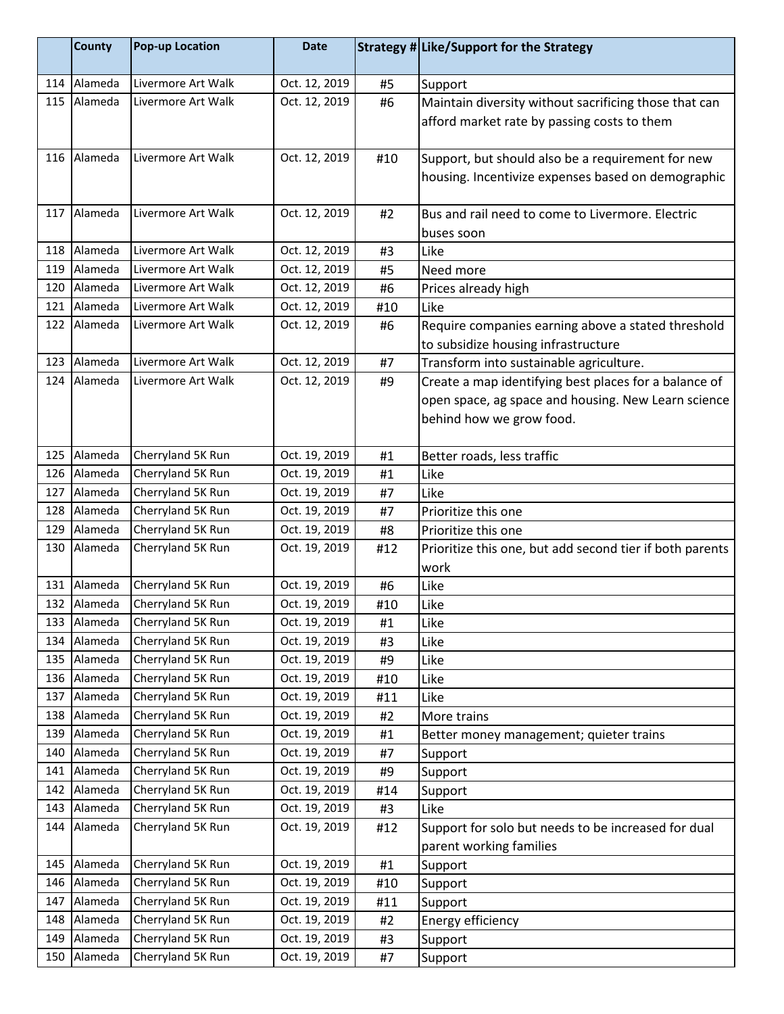|     | <b>County</b> | <b>Pop-up Location</b> | <b>Date</b>   |     | Strategy # Like/Support for the Strategy                                                                                                 |
|-----|---------------|------------------------|---------------|-----|------------------------------------------------------------------------------------------------------------------------------------------|
| 114 | Alameda       | Livermore Art Walk     | Oct. 12, 2019 | #5  | Support                                                                                                                                  |
| 115 | Alameda       | Livermore Art Walk     | Oct. 12, 2019 | #6  | Maintain diversity without sacrificing those that can<br>afford market rate by passing costs to them                                     |
|     | 116 Alameda   | Livermore Art Walk     | Oct. 12, 2019 | #10 | Support, but should also be a requirement for new<br>housing. Incentivize expenses based on demographic                                  |
| 117 | Alameda       | Livermore Art Walk     | Oct. 12, 2019 | #2  | Bus and rail need to come to Livermore. Electric<br>buses soon                                                                           |
| 118 | Alameda       | Livermore Art Walk     | Oct. 12, 2019 | #3  | Like                                                                                                                                     |
| 119 | Alameda       | Livermore Art Walk     | Oct. 12, 2019 | #5  | Need more                                                                                                                                |
| 120 | Alameda       | Livermore Art Walk     | Oct. 12, 2019 | #6  | Prices already high                                                                                                                      |
| 121 | Alameda       | Livermore Art Walk     | Oct. 12, 2019 | #10 | Like                                                                                                                                     |
| 122 | Alameda       | Livermore Art Walk     | Oct. 12, 2019 | #6  | Require companies earning above a stated threshold<br>to subsidize housing infrastructure                                                |
| 123 | Alameda       | Livermore Art Walk     | Oct. 12, 2019 | #7  | Transform into sustainable agriculture.                                                                                                  |
| 124 | Alameda       | Livermore Art Walk     | Oct. 12, 2019 | #9  | Create a map identifying best places for a balance of<br>open space, ag space and housing. New Learn science<br>behind how we grow food. |
| 125 | Alameda       | Cherryland 5K Run      | Oct. 19, 2019 | #1  | Better roads, less traffic                                                                                                               |
| 126 | Alameda       | Cherryland 5K Run      | Oct. 19, 2019 | #1  | Like                                                                                                                                     |
| 127 | Alameda       | Cherryland 5K Run      | Oct. 19, 2019 | #7  | Like                                                                                                                                     |
| 128 | Alameda       | Cherryland 5K Run      | Oct. 19, 2019 | #7  | Prioritize this one                                                                                                                      |
| 129 | Alameda       | Cherryland 5K Run      | Oct. 19, 2019 | #8  | Prioritize this one                                                                                                                      |
| 130 | Alameda       | Cherryland 5K Run      | Oct. 19, 2019 | #12 | Prioritize this one, but add second tier if both parents<br>work                                                                         |
| 131 | Alameda       | Cherryland 5K Run      | Oct. 19, 2019 | #6  | Like                                                                                                                                     |
|     | 132 Alameda   | Cherryland 5K Run      | Oct. 19, 2019 | #10 | Like                                                                                                                                     |
| 133 | Alameda       | Cherryland 5K Run      | Oct. 19, 2019 | #1  | Like                                                                                                                                     |
| 134 | Alameda       | Cherryland 5K Run      | Oct. 19, 2019 | #3  | Like                                                                                                                                     |
| 135 | Alameda       | Cherryland 5K Run      | Oct. 19, 2019 | #9  | Like                                                                                                                                     |
| 136 | Alameda       | Cherryland 5K Run      | Oct. 19, 2019 | #10 | Like                                                                                                                                     |
| 137 | Alameda       | Cherryland 5K Run      | Oct. 19, 2019 | #11 | Like                                                                                                                                     |
| 138 | Alameda       | Cherryland 5K Run      | Oct. 19, 2019 | #2  | More trains                                                                                                                              |
| 139 | Alameda       | Cherryland 5K Run      | Oct. 19, 2019 | #1  | Better money management; quieter trains                                                                                                  |
| 140 | Alameda       | Cherryland 5K Run      | Oct. 19, 2019 | #7  | Support                                                                                                                                  |
| 141 | Alameda       | Cherryland 5K Run      | Oct. 19, 2019 | #9  | Support                                                                                                                                  |
| 142 | Alameda       | Cherryland 5K Run      | Oct. 19, 2019 | #14 | Support                                                                                                                                  |
| 143 | Alameda       | Cherryland 5K Run      | Oct. 19, 2019 | #3  | Like                                                                                                                                     |
| 144 | Alameda       | Cherryland 5K Run      | Oct. 19, 2019 | #12 | Support for solo but needs to be increased for dual<br>parent working families                                                           |
| 145 | Alameda       | Cherryland 5K Run      | Oct. 19, 2019 | #1  | Support                                                                                                                                  |
| 146 | Alameda       | Cherryland 5K Run      | Oct. 19, 2019 | #10 | Support                                                                                                                                  |
| 147 | Alameda       | Cherryland 5K Run      | Oct. 19, 2019 | #11 | Support                                                                                                                                  |
| 148 | Alameda       | Cherryland 5K Run      | Oct. 19, 2019 | #2  | Energy efficiency                                                                                                                        |
| 149 | Alameda       | Cherryland 5K Run      | Oct. 19, 2019 | #3  | Support                                                                                                                                  |
| 150 | Alameda       | Cherryland 5K Run      | Oct. 19, 2019 | #7  | Support                                                                                                                                  |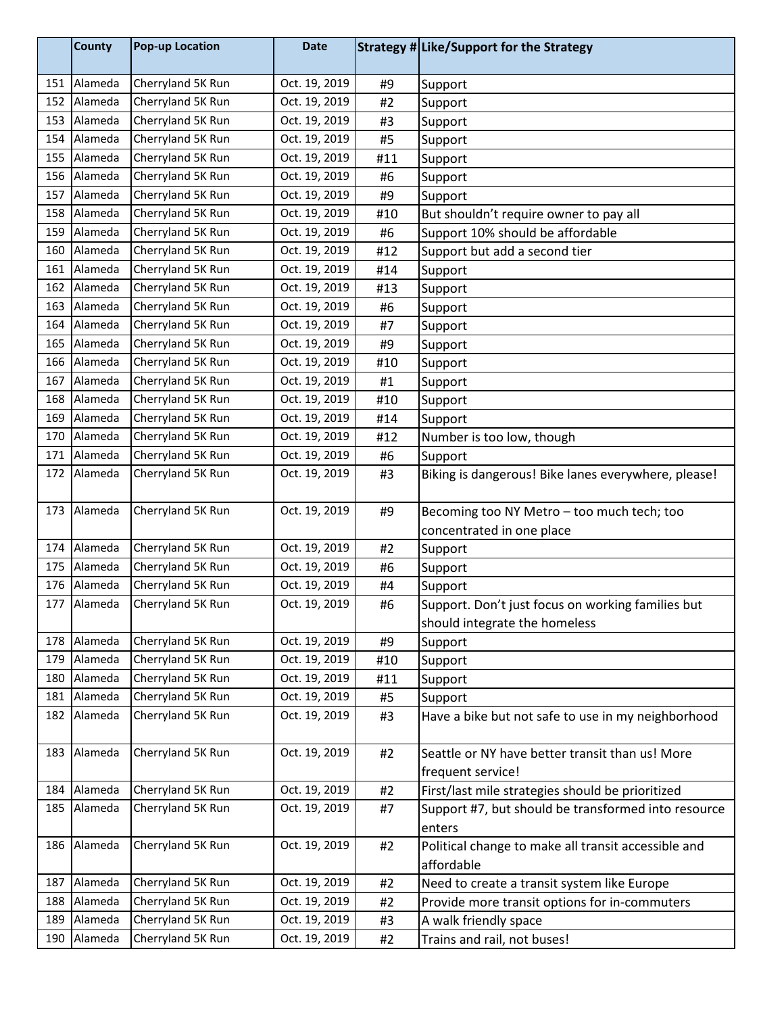|     | <b>County</b> | <b>Pop-up Location</b> | <b>Date</b>   |     | Strategy # Like/Support for the Strategy            |
|-----|---------------|------------------------|---------------|-----|-----------------------------------------------------|
| 151 | Alameda       | Cherryland 5K Run      | Oct. 19, 2019 | #9  | Support                                             |
| 152 | Alameda       | Cherryland 5K Run      | Oct. 19, 2019 | #2  | Support                                             |
| 153 | Alameda       | Cherryland 5K Run      | Oct. 19, 2019 | #3  | Support                                             |
| 154 | Alameda       | Cherryland 5K Run      | Oct. 19, 2019 | #5  | Support                                             |
| 155 | Alameda       | Cherryland 5K Run      | Oct. 19, 2019 | #11 | Support                                             |
| 156 | Alameda       | Cherryland 5K Run      | Oct. 19, 2019 | #6  | Support                                             |
| 157 | Alameda       | Cherryland 5K Run      | Oct. 19, 2019 | #9  | Support                                             |
| 158 | Alameda       | Cherryland 5K Run      | Oct. 19, 2019 | #10 | But shouldn't require owner to pay all              |
| 159 | Alameda       | Cherryland 5K Run      | Oct. 19, 2019 | #6  | Support 10% should be affordable                    |
| 160 | Alameda       | Cherryland 5K Run      | Oct. 19, 2019 | #12 | Support but add a second tier                       |
| 161 | Alameda       | Cherryland 5K Run      | Oct. 19, 2019 | #14 | Support                                             |
| 162 | Alameda       | Cherryland 5K Run      | Oct. 19, 2019 | #13 | Support                                             |
| 163 | Alameda       | Cherryland 5K Run      | Oct. 19, 2019 | #6  | Support                                             |
| 164 | Alameda       | Cherryland 5K Run      | Oct. 19, 2019 | #7  | Support                                             |
| 165 | Alameda       | Cherryland 5K Run      | Oct. 19, 2019 | #9  | Support                                             |
| 166 | Alameda       | Cherryland 5K Run      | Oct. 19, 2019 | #10 | Support                                             |
| 167 | Alameda       | Cherryland 5K Run      | Oct. 19, 2019 | #1  | Support                                             |
| 168 | Alameda       | Cherryland 5K Run      | Oct. 19, 2019 | #10 | Support                                             |
| 169 | Alameda       | Cherryland 5K Run      | Oct. 19, 2019 | #14 | Support                                             |
| 170 | Alameda       | Cherryland 5K Run      | Oct. 19, 2019 | #12 | Number is too low, though                           |
| 171 | Alameda       | Cherryland 5K Run      | Oct. 19, 2019 | #6  | Support                                             |
| 172 | Alameda       | Cherryland 5K Run      | Oct. 19, 2019 | #3  | Biking is dangerous! Bike lanes everywhere, please! |
| 173 | Alameda       | Cherryland 5K Run      | Oct. 19, 2019 | #9  | Becoming too NY Metro - too much tech; too          |
|     |               |                        |               |     | concentrated in one place                           |
| 174 | Alameda       | Cherryland 5K Run      | Oct. 19, 2019 | #2  | Support                                             |
| 175 | Alameda       | Cherryland 5K Run      | Oct. 19, 2019 | #6  | Support                                             |
| 176 | Alameda       | Cherryland 5K Run      | Oct. 19, 2019 | #4  | Support                                             |
| 177 | Alameda       | Cherryland 5K Run      | Oct. 19, 2019 | #6  | Support. Don't just focus on working families but   |
|     |               |                        |               |     | should integrate the homeless                       |
| 178 | Alameda       | Cherryland 5K Run      | Oct. 19, 2019 | #9  | Support                                             |
| 179 | Alameda       | Cherryland 5K Run      | Oct. 19, 2019 | #10 | Support                                             |
| 180 | Alameda       | Cherryland 5K Run      | Oct. 19, 2019 | #11 | Support                                             |
| 181 | Alameda       | Cherryland 5K Run      | Oct. 19, 2019 | #5  | Support                                             |
| 182 | Alameda       | Cherryland 5K Run      | Oct. 19, 2019 | #3  | Have a bike but not safe to use in my neighborhood  |
| 183 | Alameda       | Cherryland 5K Run      | Oct. 19, 2019 | #2  | Seattle or NY have better transit than us! More     |
|     |               |                        |               |     | frequent service!                                   |
| 184 | Alameda       | Cherryland 5K Run      | Oct. 19, 2019 | #2  | First/last mile strategies should be prioritized    |
| 185 | Alameda       | Cherryland 5K Run      | Oct. 19, 2019 | #7  | Support #7, but should be transformed into resource |
|     |               |                        |               |     | enters                                              |
| 186 | Alameda       | Cherryland 5K Run      | Oct. 19, 2019 | #2  | Political change to make all transit accessible and |
|     |               |                        |               |     | affordable                                          |
| 187 | Alameda       | Cherryland 5K Run      | Oct. 19, 2019 | #2  | Need to create a transit system like Europe         |
| 188 | Alameda       | Cherryland 5K Run      | Oct. 19, 2019 | #2  | Provide more transit options for in-commuters       |
| 189 | Alameda       | Cherryland 5K Run      | Oct. 19, 2019 | #3  | A walk friendly space                               |
| 190 | Alameda       | Cherryland 5K Run      | Oct. 19, 2019 | #2  | Trains and rail, not buses!                         |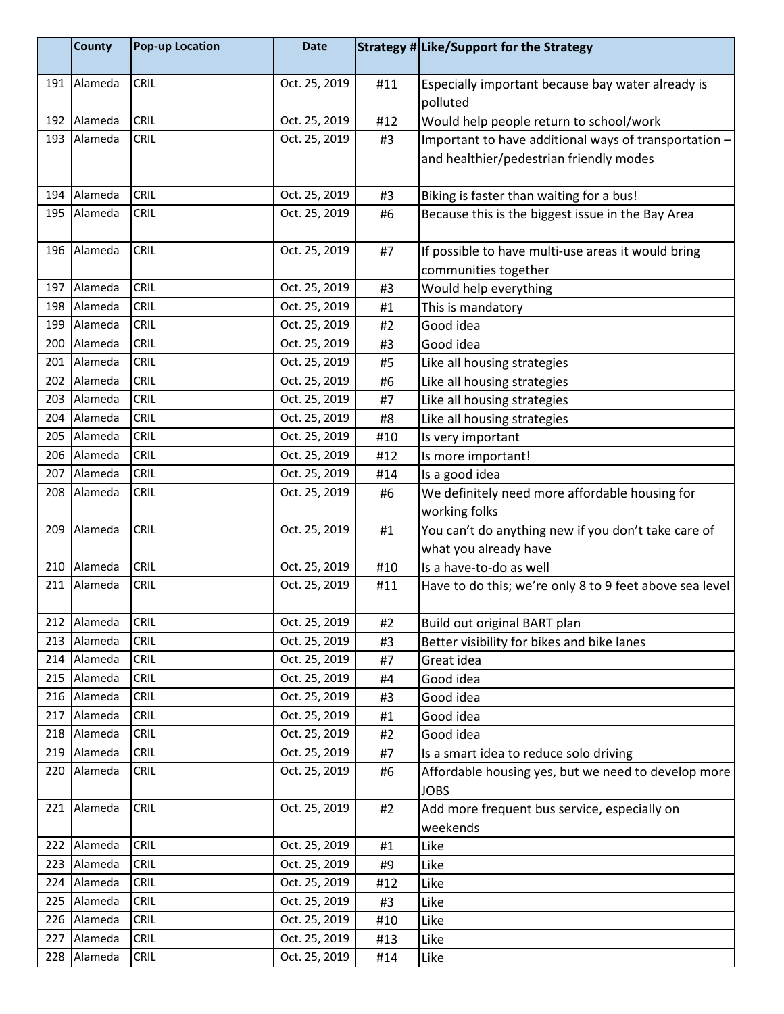|     | <b>County</b> | <b>Pop-up Location</b> | <b>Date</b>   |     | Strategy # Like/Support for the Strategy                                     |
|-----|---------------|------------------------|---------------|-----|------------------------------------------------------------------------------|
|     | 191 Alameda   | <b>CRIL</b>            | Oct. 25, 2019 | #11 | Especially important because bay water already is<br>polluted                |
| 192 | Alameda       | CRIL                   | Oct. 25, 2019 | #12 | Would help people return to school/work                                      |
| 193 | Alameda       | <b>CRIL</b>            | Oct. 25, 2019 | #3  | Important to have additional ways of transportation -                        |
|     |               |                        |               |     | and healthier/pedestrian friendly modes                                      |
|     | 194 Alameda   | <b>CRIL</b>            | Oct. 25, 2019 | #3  | Biking is faster than waiting for a bus!                                     |
| 195 | Alameda       | <b>CRIL</b>            | Oct. 25, 2019 | #6  | Because this is the biggest issue in the Bay Area                            |
| 196 | Alameda       | <b>CRIL</b>            | Oct. 25, 2019 | #7  | If possible to have multi-use areas it would bring<br>communities together   |
| 197 | Alameda       | CRIL                   | Oct. 25, 2019 | #3  | Would help everything                                                        |
| 198 | Alameda       | <b>CRIL</b>            | Oct. 25, 2019 | #1  | This is mandatory                                                            |
| 199 | Alameda       | <b>CRIL</b>            | Oct. 25, 2019 | #2  | Good idea                                                                    |
| 200 | Alameda       | CRIL                   | Oct. 25, 2019 | #3  | Good idea                                                                    |
| 201 | Alameda       | <b>CRIL</b>            | Oct. 25, 2019 | #5  | Like all housing strategies                                                  |
| 202 | Alameda       | CRIL                   | Oct. 25, 2019 | #6  | Like all housing strategies                                                  |
| 203 | Alameda       | <b>CRIL</b>            | Oct. 25, 2019 | #7  | Like all housing strategies                                                  |
| 204 | Alameda       | <b>CRIL</b>            | Oct. 25, 2019 | #8  | Like all housing strategies                                                  |
| 205 | Alameda       | CRIL                   | Oct. 25, 2019 | #10 | Is very important                                                            |
| 206 | Alameda       | <b>CRIL</b>            | Oct. 25, 2019 | #12 | Is more important!                                                           |
| 207 | Alameda       | <b>CRIL</b>            | Oct. 25, 2019 | #14 | Is a good idea                                                               |
| 208 | Alameda       | CRIL                   | Oct. 25, 2019 | #6  | We definitely need more affordable housing for                               |
|     |               |                        |               |     | working folks                                                                |
| 209 | Alameda       | <b>CRIL</b>            | Oct. 25, 2019 | #1  | You can't do anything new if you don't take care of<br>what you already have |
| 210 | Alameda       | <b>CRIL</b>            | Oct. 25, 2019 | #10 | Is a have-to-do as well                                                      |
| 211 | Alameda       | <b>CRIL</b>            | Oct. 25, 2019 | #11 | Have to do this; we're only 8 to 9 feet above sea level                      |
| 212 | Alameda       | <b>CRIL</b>            | Oct. 25, 2019 | #2  | Build out original BART plan                                                 |
|     | 213 Alameda   | <b>CRIL</b>            | Oct. 25, 2019 | #3  | Better visibility for bikes and bike lanes                                   |
|     | 214 Alameda   | <b>CRIL</b>            | Oct. 25, 2019 | #7  | Great idea                                                                   |
| 215 | Alameda       | <b>CRIL</b>            | Oct. 25, 2019 | #4  | Good idea                                                                    |
|     | 216 Alameda   | CRIL                   | Oct. 25, 2019 | #3  | Good idea                                                                    |
| 217 | Alameda       | CRIL                   | Oct. 25, 2019 | #1  | Good idea                                                                    |
|     | 218 Alameda   | <b>CRIL</b>            | Oct. 25, 2019 | #2  | Good idea                                                                    |
| 219 | Alameda       | <b>CRIL</b>            | Oct. 25, 2019 | #7  | Is a smart idea to reduce solo driving                                       |
| 220 | Alameda       | CRIL                   | Oct. 25, 2019 | #6  | Affordable housing yes, but we need to develop more<br><b>JOBS</b>           |
| 221 | Alameda       | CRIL                   | Oct. 25, 2019 | #2  | Add more frequent bus service, especially on<br>weekends                     |
| 222 | Alameda       | <b>CRIL</b>            | Oct. 25, 2019 | #1  | Like                                                                         |
| 223 | Alameda       | <b>CRIL</b>            | Oct. 25, 2019 | #9  | Like                                                                         |
|     | 224 Alameda   | <b>CRIL</b>            | Oct. 25, 2019 | #12 | Like                                                                         |
|     | 225 Alameda   | CRIL                   | Oct. 25, 2019 | #3  | Like                                                                         |
|     | 226 Alameda   | <b>CRIL</b>            | Oct. 25, 2019 | #10 | Like                                                                         |
| 227 | Alameda       | <b>CRIL</b>            | Oct. 25, 2019 | #13 | Like                                                                         |
|     | 228 Alameda   | <b>CRIL</b>            | Oct. 25, 2019 | #14 | Like                                                                         |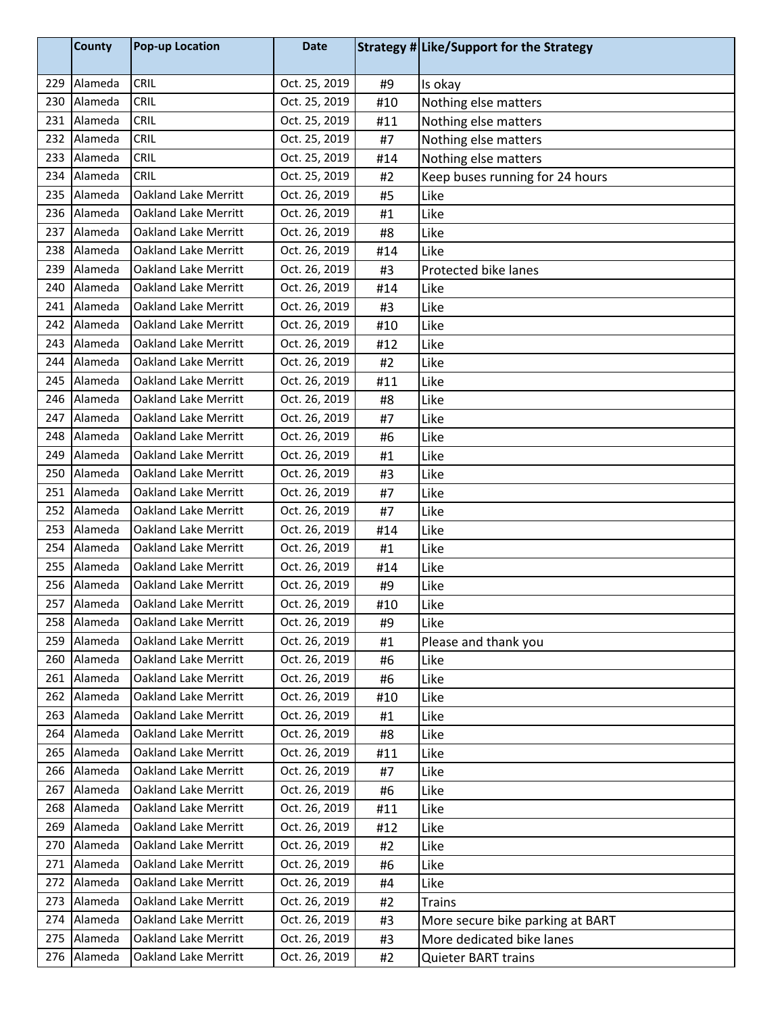|     | <b>County</b> | <b>Pop-up Location</b>      | <b>Date</b>   |     | Strategy # Like/Support for the Strategy |
|-----|---------------|-----------------------------|---------------|-----|------------------------------------------|
| 229 | Alameda       | CRIL                        | Oct. 25, 2019 | #9  | Is okay                                  |
| 230 | Alameda       | CRIL                        | Oct. 25, 2019 | #10 | Nothing else matters                     |
| 231 | Alameda       | CRIL                        | Oct. 25, 2019 | #11 | Nothing else matters                     |
| 232 | Alameda       | <b>CRIL</b>                 | Oct. 25, 2019 | #7  | Nothing else matters                     |
| 233 | Alameda       | <b>CRIL</b>                 | Oct. 25, 2019 | #14 | Nothing else matters                     |
| 234 | Alameda       | CRIL                        | Oct. 25, 2019 | #2  | Keep buses running for 24 hours          |
| 235 | Alameda       | <b>Oakland Lake Merritt</b> | Oct. 26, 2019 | #5  | Like                                     |
| 236 | Alameda       | Oakland Lake Merritt        | Oct. 26, 2019 | #1  | Like                                     |
| 237 | Alameda       | <b>Oakland Lake Merritt</b> | Oct. 26, 2019 | #8  | Like                                     |
| 238 | Alameda       | <b>Oakland Lake Merritt</b> | Oct. 26, 2019 | #14 | Like                                     |
| 239 | Alameda       | <b>Oakland Lake Merritt</b> | Oct. 26, 2019 | #3  | Protected bike lanes                     |
| 240 | Alameda       | <b>Oakland Lake Merritt</b> | Oct. 26, 2019 | #14 | Like                                     |
| 241 | Alameda       | <b>Oakland Lake Merritt</b> | Oct. 26, 2019 | #3  | Like                                     |
| 242 | Alameda       | <b>Oakland Lake Merritt</b> | Oct. 26, 2019 | #10 | Like                                     |
| 243 | Alameda       | <b>Oakland Lake Merritt</b> | Oct. 26, 2019 | #12 | Like                                     |
| 244 | Alameda       | <b>Oakland Lake Merritt</b> | Oct. 26, 2019 | #2  | Like                                     |
| 245 | Alameda       | <b>Oakland Lake Merritt</b> | Oct. 26, 2019 | #11 | Like                                     |
| 246 | Alameda       | <b>Oakland Lake Merritt</b> | Oct. 26, 2019 | #8  | Like                                     |
| 247 | Alameda       | <b>Oakland Lake Merritt</b> | Oct. 26, 2019 | #7  | Like                                     |
| 248 | Alameda       | Oakland Lake Merritt        | Oct. 26, 2019 | #6  | Like                                     |
| 249 | Alameda       | <b>Oakland Lake Merritt</b> | Oct. 26, 2019 | #1  | Like                                     |
| 250 | Alameda       | <b>Oakland Lake Merritt</b> | Oct. 26, 2019 | #3  | Like                                     |
| 251 | Alameda       | <b>Oakland Lake Merritt</b> | Oct. 26, 2019 | #7  | Like                                     |
| 252 | Alameda       | <b>Oakland Lake Merritt</b> | Oct. 26, 2019 | #7  | Like                                     |
| 253 | Alameda       | <b>Oakland Lake Merritt</b> | Oct. 26, 2019 | #14 | Like                                     |
| 254 | Alameda       | <b>Oakland Lake Merritt</b> | Oct. 26, 2019 | #1  | Like                                     |
| 255 | Alameda       | <b>Oakland Lake Merritt</b> | Oct. 26, 2019 | #14 | Like                                     |
| 256 | Alameda       | <b>Oakland Lake Merritt</b> | Oct. 26, 2019 | #9  | Like                                     |
| 257 | Alameda       | <b>Oakland Lake Merritt</b> | Oct. 26, 2019 | #10 | Like                                     |
| 258 | Alameda       | Oakland Lake Merritt        | Oct. 26, 2019 | #9  | Like                                     |
| 259 | Alameda       | <b>Oakland Lake Merritt</b> | Oct. 26, 2019 | #1  | Please and thank you                     |
| 260 | Alameda       | Oakland Lake Merritt        | Oct. 26, 2019 | #6  | Like                                     |
| 261 | Alameda       | <b>Oakland Lake Merritt</b> | Oct. 26, 2019 | #6  | Like                                     |
| 262 | Alameda       | <b>Oakland Lake Merritt</b> | Oct. 26, 2019 | #10 | Like                                     |
| 263 | Alameda       | <b>Oakland Lake Merritt</b> | Oct. 26, 2019 | #1  | Like                                     |
| 264 | Alameda       | Oakland Lake Merritt        | Oct. 26, 2019 | #8  | Like                                     |
| 265 | Alameda       | <b>Oakland Lake Merritt</b> | Oct. 26, 2019 | #11 | Like                                     |
| 266 | Alameda       | <b>Oakland Lake Merritt</b> | Oct. 26, 2019 | #7  | Like                                     |
| 267 | Alameda       | Oakland Lake Merritt        | Oct. 26, 2019 | #6  | Like                                     |
| 268 | Alameda       | <b>Oakland Lake Merritt</b> | Oct. 26, 2019 | #11 | Like                                     |
| 269 | Alameda       | <b>Oakland Lake Merritt</b> | Oct. 26, 2019 | #12 | Like                                     |
| 270 | Alameda       | <b>Oakland Lake Merritt</b> | Oct. 26, 2019 | #2  | Like                                     |
| 271 | Alameda       | <b>Oakland Lake Merritt</b> | Oct. 26, 2019 | #6  | Like                                     |
| 272 | Alameda       | Oakland Lake Merritt        | Oct. 26, 2019 | #4  | Like                                     |
| 273 | Alameda       | <b>Oakland Lake Merritt</b> | Oct. 26, 2019 | #2  | <b>Trains</b>                            |
| 274 | Alameda       | Oakland Lake Merritt        | Oct. 26, 2019 | #3  | More secure bike parking at BART         |
| 275 | Alameda       | <b>Oakland Lake Merritt</b> | Oct. 26, 2019 | #3  | More dedicated bike lanes                |
| 276 | Alameda       | Oakland Lake Merritt        | Oct. 26, 2019 | #2  | Quieter BART trains                      |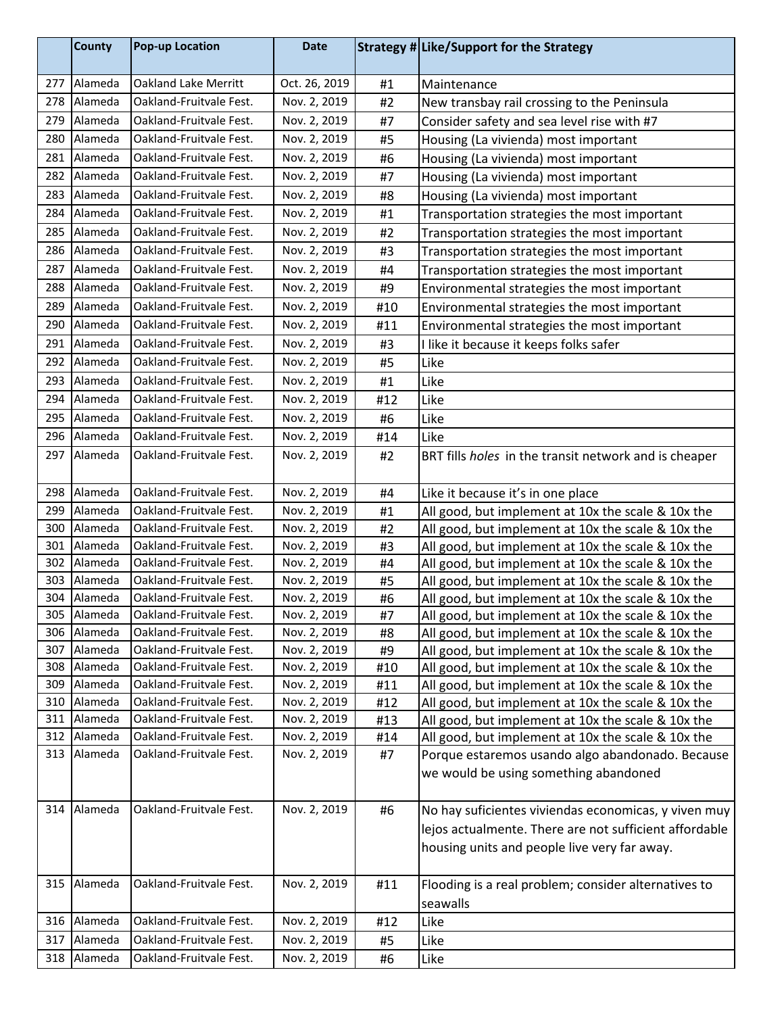|            | <b>County</b>      | <b>Pop-up Location</b>                             | <b>Date</b>                  |          | Strategy # Like/Support for the Strategy                                                                 |
|------------|--------------------|----------------------------------------------------|------------------------------|----------|----------------------------------------------------------------------------------------------------------|
| 277        | Alameda            | <b>Oakland Lake Merritt</b>                        | Oct. 26, 2019                | #1       | Maintenance                                                                                              |
| 278        | Alameda            | Oakland-Fruitvale Fest.                            | Nov. 2, 2019                 | #2       | New transbay rail crossing to the Peninsula                                                              |
| 279        | Alameda            | Oakland-Fruitvale Fest.                            | Nov. 2, 2019                 | #7       | Consider safety and sea level rise with #7                                                               |
| 280        | Alameda            | Oakland-Fruitvale Fest.                            | Nov. 2, 2019                 | #5       | Housing (La vivienda) most important                                                                     |
| 281        | Alameda            | Oakland-Fruitvale Fest.                            | Nov. 2, 2019                 | #6       | Housing (La vivienda) most important                                                                     |
| 282        | Alameda            | Oakland-Fruitvale Fest.                            | Nov. 2, 2019                 | #7       | Housing (La vivienda) most important                                                                     |
| 283        | Alameda            | Oakland-Fruitvale Fest.                            | Nov. 2, 2019                 | #8       | Housing (La vivienda) most important                                                                     |
| 284        | Alameda            | Oakland-Fruitvale Fest.                            | Nov. 2, 2019                 | #1       | Transportation strategies the most important                                                             |
| 285        | Alameda            | Oakland-Fruitvale Fest.                            | Nov. 2, 2019                 | #2       | Transportation strategies the most important                                                             |
| 286        | Alameda            | Oakland-Fruitvale Fest.                            | Nov. 2, 2019                 | #3       | Transportation strategies the most important                                                             |
| 287        | Alameda            | Oakland-Fruitvale Fest.                            | Nov. 2, 2019                 | #4       | Transportation strategies the most important                                                             |
| 288        | Alameda            | Oakland-Fruitvale Fest.                            | Nov. 2, 2019                 | #9       | Environmental strategies the most important                                                              |
| 289        | Alameda            | Oakland-Fruitvale Fest.                            | Nov. 2, 2019                 | #10      | Environmental strategies the most important                                                              |
| 290        | Alameda            | Oakland-Fruitvale Fest.                            | Nov. 2, 2019                 | #11      | Environmental strategies the most important                                                              |
| 291        | Alameda            | Oakland-Fruitvale Fest.                            | Nov. 2, 2019                 | #3       | I like it because it keeps folks safer                                                                   |
| 292        | Alameda            | Oakland-Fruitvale Fest.                            | Nov. 2, 2019                 | #5       | Like                                                                                                     |
| 293        | Alameda            | Oakland-Fruitvale Fest.                            | Nov. 2, 2019                 | #1       | Like                                                                                                     |
| 294        | Alameda            | Oakland-Fruitvale Fest.                            | Nov. 2, 2019                 | #12      | Like                                                                                                     |
| 295        | Alameda            | Oakland-Fruitvale Fest.                            | Nov. 2, 2019                 | #6       | Like                                                                                                     |
| 296        | Alameda            | Oakland-Fruitvale Fest.                            | Nov. 2, 2019                 | #14      | Like                                                                                                     |
| 297        | Alameda            | Oakland-Fruitvale Fest.                            | Nov. 2, 2019                 | #2       | BRT fills holes in the transit network and is cheaper                                                    |
| 298        | Alameda            | Oakland-Fruitvale Fest.                            | Nov. 2, 2019                 | #4       | Like it because it's in one place                                                                        |
| 299        | Alameda            | Oakland-Fruitvale Fest.                            | Nov. 2, 2019                 | #1       | All good, but implement at 10x the scale & 10x the                                                       |
| 300        | Alameda            | Oakland-Fruitvale Fest.                            | Nov. 2, 2019                 | #2       | All good, but implement at 10x the scale & 10x the                                                       |
| 301        | Alameda            | Oakland-Fruitvale Fest.                            | Nov. 2, 2019                 | #3       | All good, but implement at 10x the scale & 10x the                                                       |
| 302        | Alameda            | Oakland-Fruitvale Fest.                            | Nov. 2, 2019                 | #4       | All good, but implement at 10x the scale & 10x the                                                       |
| 303        | Alameda            | Oakland-Fruitvale Fest.                            | Nov. 2, 2019                 | #5       | All good, but implement at 10x the scale & 10x the                                                       |
| 304        | Alameda            | Oakland-Fruitvale Fest.                            | Nov. 2, 2019                 | #6       | All good, but implement at 10x the scale & 10x the                                                       |
| 305<br>306 | Alameda<br>Alameda | Oakland-Fruitvale Fest.<br>Oakland-Fruitvale Fest. | Nov. 2, 2019<br>Nov. 2, 2019 | #7       | All good, but implement at 10x the scale & 10x the                                                       |
| 307        | Alameda            | Oakland-Fruitvale Fest.                            | Nov. 2, 2019                 | #8<br>#9 | All good, but implement at 10x the scale & 10x the<br>All good, but implement at 10x the scale & 10x the |
| 308        | Alameda            | Oakland-Fruitvale Fest.                            | Nov. 2, 2019                 | #10      | All good, but implement at 10x the scale & 10x the                                                       |
| 309        | Alameda            | Oakland-Fruitvale Fest.                            | Nov. 2, 2019                 | #11      | All good, but implement at 10x the scale & 10x the                                                       |
| 310        | Alameda            | Oakland-Fruitvale Fest.                            | Nov. 2, 2019                 | #12      | All good, but implement at 10x the scale & 10x the                                                       |
| 311        | Alameda            | Oakland-Fruitvale Fest.                            | Nov. 2, 2019                 | #13      | All good, but implement at 10x the scale & 10x the                                                       |
| 312        | Alameda            | Oakland-Fruitvale Fest.                            | Nov. 2, 2019                 | #14      | All good, but implement at 10x the scale & 10x the                                                       |
| 313        | Alameda            | Oakland-Fruitvale Fest.                            | Nov. 2, 2019                 | #7       | Porque estaremos usando algo abandonado. Because                                                         |
|            |                    |                                                    |                              |          | we would be using something abandoned                                                                    |
| 314        | Alameda            | Oakland-Fruitvale Fest.                            | Nov. 2, 2019                 | #6       | No hay suficientes viviendas economicas, y viven muy                                                     |
|            |                    |                                                    |                              |          | lejos actualmente. There are not sufficient affordable                                                   |
|            |                    |                                                    |                              |          | housing units and people live very far away.                                                             |
| 315        | Alameda            | Oakland-Fruitvale Fest.                            | Nov. 2, 2019                 | #11      | Flooding is a real problem; consider alternatives to                                                     |
|            |                    |                                                    |                              |          | seawalls                                                                                                 |
| 316        | Alameda            | Oakland-Fruitvale Fest.                            | Nov. 2, 2019                 | #12      | Like                                                                                                     |
| 317        | Alameda            | Oakland-Fruitvale Fest.                            | Nov. 2, 2019                 | #5       | Like                                                                                                     |
| 318        | Alameda            | Oakland-Fruitvale Fest.                            | Nov. 2, 2019                 | #6       | Like                                                                                                     |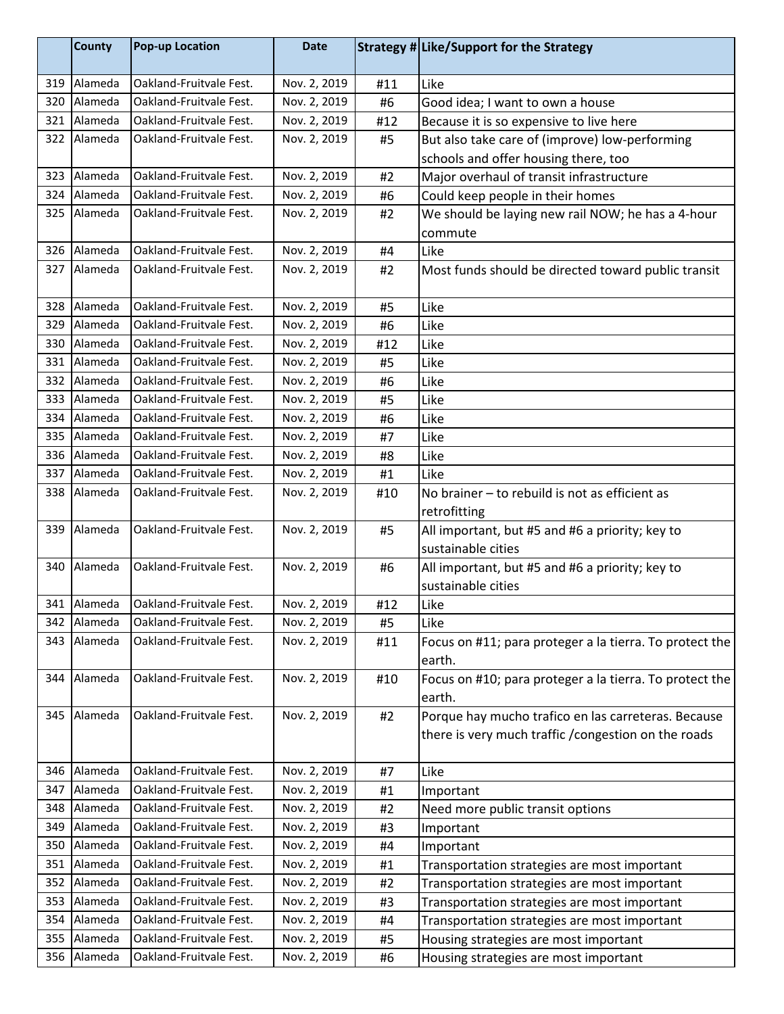|     | <b>County</b> | <b>Pop-up Location</b>  | <b>Date</b>  |     | Strategy # Like/Support for the Strategy                |
|-----|---------------|-------------------------|--------------|-----|---------------------------------------------------------|
| 319 | Alameda       | Oakland-Fruitvale Fest. | Nov. 2, 2019 | #11 | Like                                                    |
| 320 | Alameda       | Oakland-Fruitvale Fest. | Nov. 2, 2019 | #6  | Good idea; I want to own a house                        |
| 321 | Alameda       | Oakland-Fruitvale Fest. | Nov. 2, 2019 | #12 | Because it is so expensive to live here                 |
| 322 | Alameda       | Oakland-Fruitvale Fest. | Nov. 2, 2019 | #5  | But also take care of (improve) low-performing          |
|     |               |                         |              |     | schools and offer housing there, too                    |
| 323 | Alameda       | Oakland-Fruitvale Fest. | Nov. 2, 2019 | #2  | Major overhaul of transit infrastructure                |
| 324 | Alameda       | Oakland-Fruitvale Fest. | Nov. 2, 2019 | #6  | Could keep people in their homes                        |
| 325 | Alameda       | Oakland-Fruitvale Fest. | Nov. 2, 2019 | #2  | We should be laying new rail NOW; he has a 4-hour       |
|     |               |                         |              |     | commute                                                 |
| 326 | Alameda       | Oakland-Fruitvale Fest. | Nov. 2, 2019 | #4  | Like                                                    |
| 327 | Alameda       | Oakland-Fruitvale Fest. | Nov. 2, 2019 | #2  | Most funds should be directed toward public transit     |
|     |               |                         |              |     |                                                         |
| 328 | Alameda       | Oakland-Fruitvale Fest. | Nov. 2, 2019 | #5  | Like                                                    |
| 329 | Alameda       | Oakland-Fruitvale Fest. | Nov. 2, 2019 | #6  | Like                                                    |
| 330 | Alameda       | Oakland-Fruitvale Fest. | Nov. 2, 2019 | #12 | Like                                                    |
| 331 | Alameda       | Oakland-Fruitvale Fest. | Nov. 2, 2019 | #5  | Like                                                    |
| 332 | Alameda       | Oakland-Fruitvale Fest. | Nov. 2, 2019 | #6  | Like                                                    |
| 333 | Alameda       | Oakland-Fruitvale Fest. | Nov. 2, 2019 | #5  | Like                                                    |
| 334 | Alameda       | Oakland-Fruitvale Fest. | Nov. 2, 2019 | #6  | Like                                                    |
| 335 | Alameda       | Oakland-Fruitvale Fest. | Nov. 2, 2019 | #7  | Like                                                    |
| 336 | Alameda       | Oakland-Fruitvale Fest. | Nov. 2, 2019 | #8  | Like                                                    |
| 337 | Alameda       | Oakland-Fruitvale Fest. | Nov. 2, 2019 | #1  | Like                                                    |
| 338 | Alameda       | Oakland-Fruitvale Fest. | Nov. 2, 2019 | #10 | No brainer - to rebuild is not as efficient as          |
|     |               |                         |              |     | retrofitting                                            |
| 339 | Alameda       | Oakland-Fruitvale Fest. | Nov. 2, 2019 | #5  | All important, but #5 and #6 a priority; key to         |
|     |               |                         |              |     | sustainable cities                                      |
| 340 | Alameda       | Oakland-Fruitvale Fest. | Nov. 2, 2019 | #6  | All important, but #5 and #6 a priority; key to         |
|     |               |                         |              |     | sustainable cities                                      |
|     | 341 Alameda   | Oakland-Fruitvale Fest. | Nov. 2, 2019 | #12 | Like                                                    |
| 342 | Alameda       | Oakland-Fruitvale Fest. | Nov. 2, 2019 | #5  | Like                                                    |
| 343 | Alameda       | Oakland-Fruitvale Fest. | Nov. 2, 2019 | #11 | Focus on #11; para proteger a la tierra. To protect the |
|     |               |                         |              |     | earth.                                                  |
| 344 | Alameda       | Oakland-Fruitvale Fest. | Nov. 2, 2019 | #10 | Focus on #10; para proteger a la tierra. To protect the |
|     |               |                         |              |     | earth.                                                  |
| 345 | Alameda       | Oakland-Fruitvale Fest. | Nov. 2, 2019 | #2  | Porque hay mucho trafico en las carreteras. Because     |
|     |               |                         |              |     | there is very much traffic / congestion on the roads    |
|     |               |                         |              |     |                                                         |
| 346 | Alameda       | Oakland-Fruitvale Fest. | Nov. 2, 2019 | #7  | Like                                                    |
| 347 | Alameda       | Oakland-Fruitvale Fest. | Nov. 2, 2019 | #1  | Important                                               |
| 348 | Alameda       | Oakland-Fruitvale Fest. | Nov. 2, 2019 | #2  | Need more public transit options                        |
| 349 | Alameda       | Oakland-Fruitvale Fest. | Nov. 2, 2019 | #3  | Important                                               |
| 350 | Alameda       | Oakland-Fruitvale Fest. | Nov. 2, 2019 | #4  | Important                                               |
| 351 | Alameda       | Oakland-Fruitvale Fest. | Nov. 2, 2019 | #1  | Transportation strategies are most important            |
| 352 | Alameda       | Oakland-Fruitvale Fest. | Nov. 2, 2019 | #2  | Transportation strategies are most important            |
| 353 | Alameda       | Oakland-Fruitvale Fest. | Nov. 2, 2019 | #3  | Transportation strategies are most important            |
| 354 | Alameda       | Oakland-Fruitvale Fest. | Nov. 2, 2019 | #4  | Transportation strategies are most important            |
| 355 | Alameda       | Oakland-Fruitvale Fest. | Nov. 2, 2019 | #5  | Housing strategies are most important                   |
| 356 | Alameda       | Oakland-Fruitvale Fest. | Nov. 2, 2019 | #6  | Housing strategies are most important                   |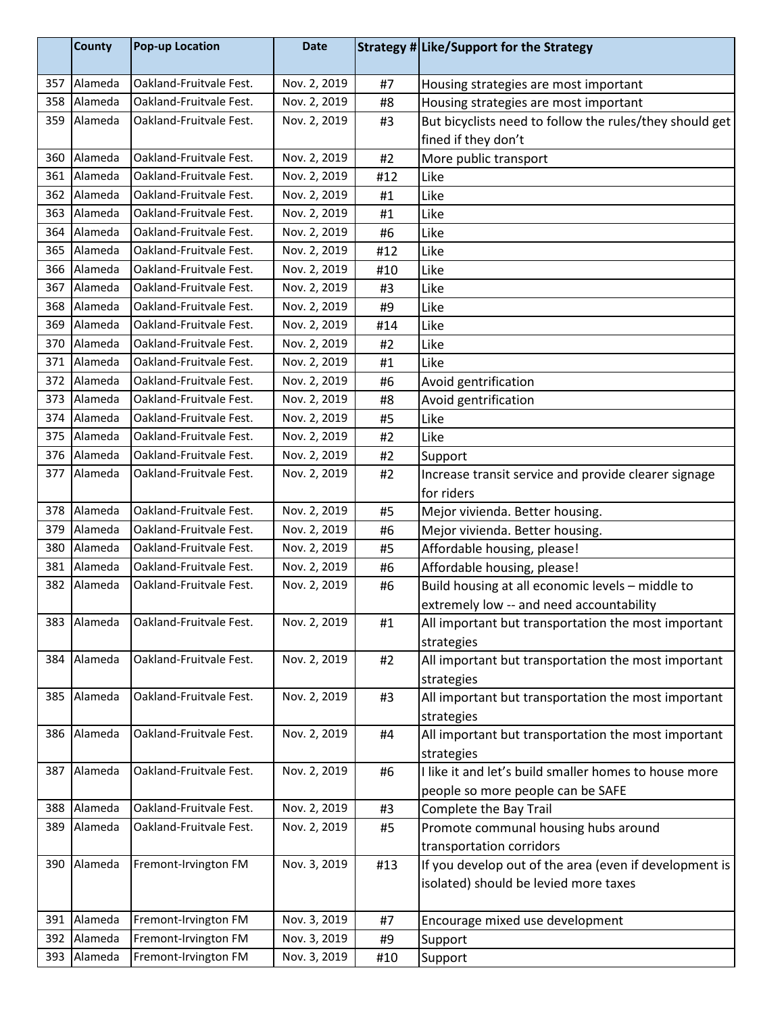|     | <b>County</b> | <b>Pop-up Location</b>  | <b>Date</b>  |     | Strategy # Like/Support for the Strategy                |
|-----|---------------|-------------------------|--------------|-----|---------------------------------------------------------|
| 357 | Alameda       | Oakland-Fruitvale Fest. | Nov. 2, 2019 | #7  | Housing strategies are most important                   |
| 358 | Alameda       | Oakland-Fruitvale Fest. | Nov. 2, 2019 | #8  | Housing strategies are most important                   |
| 359 | Alameda       | Oakland-Fruitvale Fest. | Nov. 2, 2019 | #3  | But bicyclists need to follow the rules/they should get |
|     |               |                         |              |     | fined if they don't                                     |
| 360 | Alameda       | Oakland-Fruitvale Fest. | Nov. 2, 2019 | #2  | More public transport                                   |
| 361 | Alameda       | Oakland-Fruitvale Fest. | Nov. 2, 2019 | #12 | Like                                                    |
| 362 | Alameda       | Oakland-Fruitvale Fest. | Nov. 2, 2019 | #1  | Like                                                    |
| 363 | Alameda       | Oakland-Fruitvale Fest. | Nov. 2, 2019 | #1  | Like                                                    |
| 364 | Alameda       | Oakland-Fruitvale Fest. | Nov. 2, 2019 | #6  | Like                                                    |
| 365 | Alameda       | Oakland-Fruitvale Fest. | Nov. 2, 2019 | #12 | Like                                                    |
| 366 | Alameda       | Oakland-Fruitvale Fest. | Nov. 2, 2019 | #10 | Like                                                    |
| 367 | Alameda       | Oakland-Fruitvale Fest. | Nov. 2, 2019 | #3  | Like                                                    |
| 368 | Alameda       | Oakland-Fruitvale Fest. | Nov. 2, 2019 | #9  | Like                                                    |
| 369 | Alameda       | Oakland-Fruitvale Fest. | Nov. 2, 2019 | #14 | Like                                                    |
| 370 | Alameda       | Oakland-Fruitvale Fest. | Nov. 2, 2019 | #2  | Like                                                    |
| 371 | Alameda       | Oakland-Fruitvale Fest. | Nov. 2, 2019 | #1  | Like                                                    |
| 372 | Alameda       | Oakland-Fruitvale Fest. | Nov. 2, 2019 | #6  | Avoid gentrification                                    |
| 373 | Alameda       | Oakland-Fruitvale Fest. | Nov. 2, 2019 | #8  | Avoid gentrification                                    |
| 374 | Alameda       | Oakland-Fruitvale Fest. | Nov. 2, 2019 | #5  | Like                                                    |
| 375 | Alameda       | Oakland-Fruitvale Fest. | Nov. 2, 2019 | #2  | Like                                                    |
| 376 | Alameda       | Oakland-Fruitvale Fest. | Nov. 2, 2019 | #2  | Support                                                 |
| 377 | Alameda       | Oakland-Fruitvale Fest. | Nov. 2, 2019 | #2  | Increase transit service and provide clearer signage    |
|     |               |                         |              |     | for riders                                              |
| 378 | Alameda       | Oakland-Fruitvale Fest. | Nov. 2, 2019 | #5  | Mejor vivienda. Better housing.                         |
| 379 | Alameda       | Oakland-Fruitvale Fest. | Nov. 2, 2019 | #6  | Mejor vivienda. Better housing.                         |
| 380 | Alameda       | Oakland-Fruitvale Fest. | Nov. 2, 2019 | #5  | Affordable housing, please!                             |
| 381 | Alameda       | Oakland-Fruitvale Fest. | Nov. 2, 2019 | #6  | Affordable housing, please!                             |
| 382 | Alameda       | Oakland-Fruitvale Fest. | Nov. 2, 2019 | #6  | Build housing at all economic levels - middle to        |
|     |               |                         |              |     | extremely low -- and need accountability                |
| 383 | Alameda       | Oakland-Fruitvale Fest. | Nov. 2, 2019 | #1  | All important but transportation the most important     |
|     |               |                         |              |     | strategies                                              |
| 384 | Alameda       | Oakland-Fruitvale Fest. | Nov. 2, 2019 | #2  | All important but transportation the most important     |
|     |               |                         |              |     | strategies                                              |
| 385 | Alameda       | Oakland-Fruitvale Fest. | Nov. 2, 2019 | #3  | All important but transportation the most important     |
|     |               |                         |              |     | strategies                                              |
| 386 | Alameda       | Oakland-Fruitvale Fest. | Nov. 2, 2019 | #4  | All important but transportation the most important     |
|     |               |                         |              |     | strategies                                              |
| 387 | Alameda       | Oakland-Fruitvale Fest. | Nov. 2, 2019 | #6  | I like it and let's build smaller homes to house more   |
|     |               |                         |              |     | people so more people can be SAFE                       |
| 388 | Alameda       | Oakland-Fruitvale Fest. | Nov. 2, 2019 | #3  | Complete the Bay Trail                                  |
| 389 | Alameda       | Oakland-Fruitvale Fest. | Nov. 2, 2019 | #5  | Promote communal housing hubs around                    |
|     |               |                         |              |     | transportation corridors                                |
| 390 | Alameda       | Fremont-Irvington FM    | Nov. 3, 2019 | #13 | If you develop out of the area (even if development is  |
|     |               |                         |              |     | isolated) should be levied more taxes                   |
|     |               |                         |              |     |                                                         |
| 391 | Alameda       | Fremont-Irvington FM    | Nov. 3, 2019 | #7  | Encourage mixed use development                         |
| 392 | Alameda       | Fremont-Irvington FM    | Nov. 3, 2019 | #9  | Support                                                 |
| 393 | Alameda       | Fremont-Irvington FM    | Nov. 3, 2019 | #10 | Support                                                 |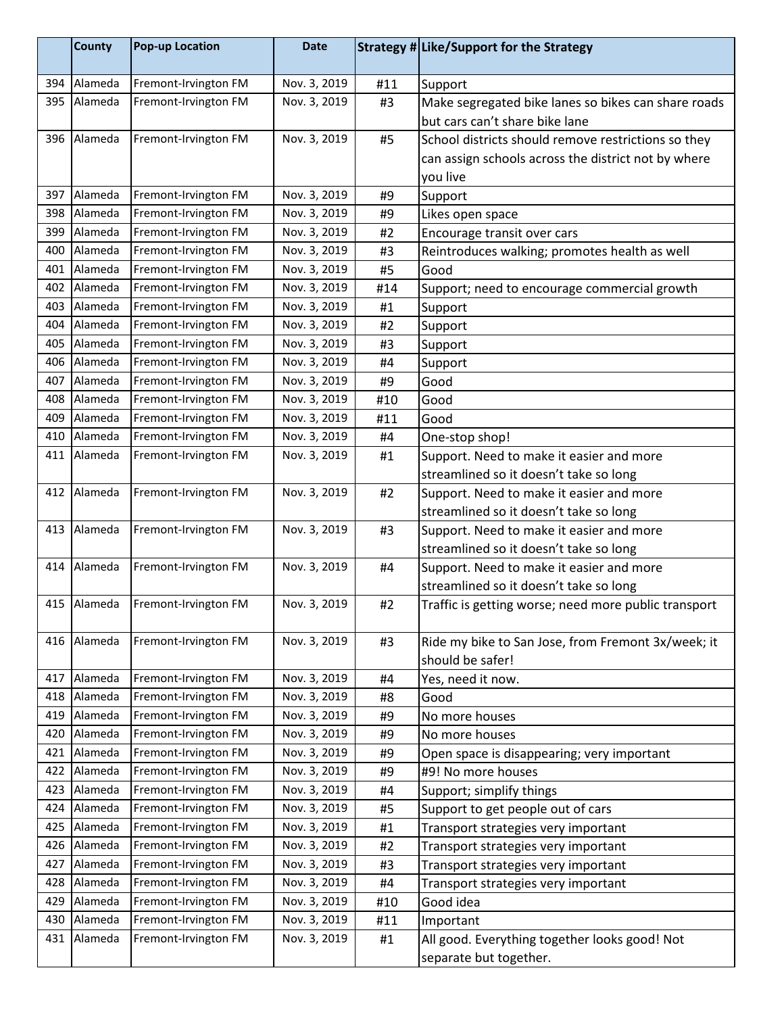|     | <b>County</b> | <b>Pop-up Location</b> | <b>Date</b>  |     | Strategy # Like/Support for the Strategy             |
|-----|---------------|------------------------|--------------|-----|------------------------------------------------------|
| 394 | Alameda       | Fremont-Irvington FM   | Nov. 3, 2019 | #11 | Support                                              |
| 395 | Alameda       | Fremont-Irvington FM   | Nov. 3, 2019 | #3  | Make segregated bike lanes so bikes can share roads  |
|     |               |                        |              |     | but cars can't share bike lane                       |
| 396 | Alameda       | Fremont-Irvington FM   | Nov. 3, 2019 | #5  | School districts should remove restrictions so they  |
|     |               |                        |              |     | can assign schools across the district not by where  |
|     |               |                        |              |     | you live                                             |
| 397 | Alameda       | Fremont-Irvington FM   | Nov. 3, 2019 | #9  | Support                                              |
| 398 | Alameda       | Fremont-Irvington FM   | Nov. 3, 2019 | #9  | Likes open space                                     |
| 399 | Alameda       | Fremont-Irvington FM   | Nov. 3, 2019 | #2  | Encourage transit over cars                          |
| 400 | Alameda       | Fremont-Irvington FM   | Nov. 3, 2019 | #3  | Reintroduces walking; promotes health as well        |
| 401 | Alameda       | Fremont-Irvington FM   | Nov. 3, 2019 | #5  | Good                                                 |
| 402 | Alameda       | Fremont-Irvington FM   | Nov. 3, 2019 | #14 | Support; need to encourage commercial growth         |
| 403 | Alameda       | Fremont-Irvington FM   | Nov. 3, 2019 | #1  | Support                                              |
| 404 | Alameda       | Fremont-Irvington FM   | Nov. 3, 2019 | #2  | Support                                              |
| 405 | Alameda       | Fremont-Irvington FM   | Nov. 3, 2019 | #3  | Support                                              |
| 406 | Alameda       | Fremont-Irvington FM   | Nov. 3, 2019 | #4  | Support                                              |
| 407 | Alameda       | Fremont-Irvington FM   | Nov. 3, 2019 | #9  | Good                                                 |
| 408 | Alameda       | Fremont-Irvington FM   | Nov. 3, 2019 | #10 | Good                                                 |
| 409 | Alameda       | Fremont-Irvington FM   | Nov. 3, 2019 | #11 | Good                                                 |
| 410 | Alameda       | Fremont-Irvington FM   | Nov. 3, 2019 | #4  | One-stop shop!                                       |
| 411 | Alameda       | Fremont-Irvington FM   | Nov. 3, 2019 | #1  | Support. Need to make it easier and more             |
|     |               |                        |              |     | streamlined so it doesn't take so long               |
| 412 | Alameda       | Fremont-Irvington FM   | Nov. 3, 2019 | #2  | Support. Need to make it easier and more             |
|     |               |                        |              |     | streamlined so it doesn't take so long               |
| 413 | Alameda       | Fremont-Irvington FM   | Nov. 3, 2019 | #3  | Support. Need to make it easier and more             |
|     |               |                        |              |     | streamlined so it doesn't take so long               |
| 414 | Alameda       | Fremont-Irvington FM   | Nov. 3, 2019 | #4  | Support. Need to make it easier and more             |
|     |               |                        |              |     | streamlined so it doesn't take so long               |
|     | 415 Alameda   | Fremont-Irvington FM   | Nov. 3, 2019 | #2  | Traffic is getting worse; need more public transport |
| 416 | Alameda       | Fremont-Irvington FM   | Nov. 3, 2019 | #3  | Ride my bike to San Jose, from Fremont 3x/week; it   |
|     |               |                        |              |     | should be safer!                                     |
| 417 | Alameda       | Fremont-Irvington FM   | Nov. 3, 2019 | #4  | Yes, need it now.                                    |
| 418 | Alameda       | Fremont-Irvington FM   | Nov. 3, 2019 | #8  | Good                                                 |
| 419 | Alameda       | Fremont-Irvington FM   | Nov. 3, 2019 | #9  | No more houses                                       |
| 420 | Alameda       | Fremont-Irvington FM   | Nov. 3, 2019 | #9  | No more houses                                       |
| 421 | Alameda       | Fremont-Irvington FM   | Nov. 3, 2019 | #9  | Open space is disappearing; very important           |
| 422 | Alameda       | Fremont-Irvington FM   | Nov. 3, 2019 | #9  | #9! No more houses                                   |
| 423 | Alameda       | Fremont-Irvington FM   | Nov. 3, 2019 | #4  | Support; simplify things                             |
| 424 | Alameda       | Fremont-Irvington FM   | Nov. 3, 2019 | #5  | Support to get people out of cars                    |
| 425 | Alameda       | Fremont-Irvington FM   | Nov. 3, 2019 | #1  | Transport strategies very important                  |
| 426 | Alameda       | Fremont-Irvington FM   | Nov. 3, 2019 | #2  | Transport strategies very important                  |
| 427 | Alameda       | Fremont-Irvington FM   | Nov. 3, 2019 | #3  | Transport strategies very important                  |
| 428 | Alameda       | Fremont-Irvington FM   | Nov. 3, 2019 | #4  | Transport strategies very important                  |
| 429 | Alameda       | Fremont-Irvington FM   | Nov. 3, 2019 | #10 | Good idea                                            |
| 430 | Alameda       | Fremont-Irvington FM   | Nov. 3, 2019 | #11 | Important                                            |
| 431 | Alameda       | Fremont-Irvington FM   | Nov. 3, 2019 | #1  | All good. Everything together looks good! Not        |
|     |               |                        |              |     | separate but together.                               |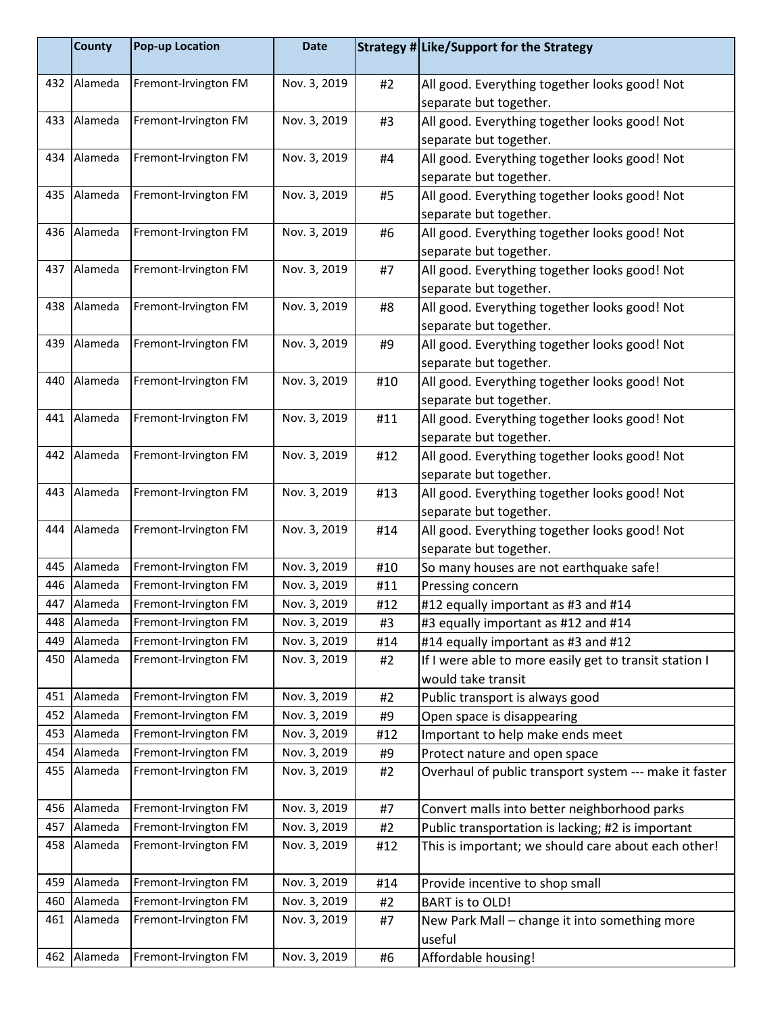|            | <b>County</b>      | <b>Pop-up Location</b>                       | <b>Date</b>                  |           | Strategy # Like/Support for the Strategy                                                |
|------------|--------------------|----------------------------------------------|------------------------------|-----------|-----------------------------------------------------------------------------------------|
| 432        | Alameda            | Fremont-Irvington FM                         | Nov. 3, 2019                 | #2        | All good. Everything together looks good! Not<br>separate but together.                 |
| 433        | Alameda            | Fremont-Irvington FM                         | Nov. 3, 2019                 | #3        | All good. Everything together looks good! Not                                           |
|            |                    |                                              |                              |           | separate but together.                                                                  |
| 434        | Alameda            | Fremont-Irvington FM                         | Nov. 3, 2019                 | #4        | All good. Everything together looks good! Not                                           |
|            |                    |                                              |                              |           | separate but together.                                                                  |
| 435        | Alameda            | Fremont-Irvington FM                         | Nov. 3, 2019                 | #5        | All good. Everything together looks good! Not                                           |
|            |                    |                                              |                              |           | separate but together.                                                                  |
| 436        | Alameda            | Fremont-Irvington FM                         | Nov. 3, 2019                 | #6        | All good. Everything together looks good! Not                                           |
|            |                    |                                              |                              |           | separate but together.                                                                  |
| 437        | Alameda            | Fremont-Irvington FM                         | Nov. 3, 2019                 | #7        | All good. Everything together looks good! Not                                           |
|            |                    |                                              |                              |           | separate but together.                                                                  |
| 438        | Alameda            | Fremont-Irvington FM                         | Nov. 3, 2019                 | #8        | All good. Everything together looks good! Not                                           |
|            |                    |                                              |                              |           | separate but together.                                                                  |
| 439        | Alameda            | Fremont-Irvington FM                         | Nov. 3, 2019                 | #9        | All good. Everything together looks good! Not                                           |
|            |                    |                                              |                              |           | separate but together.                                                                  |
| 440        | Alameda            | Fremont-Irvington FM                         | Nov. 3, 2019                 | #10       | All good. Everything together looks good! Not                                           |
|            |                    |                                              |                              |           | separate but together.                                                                  |
| 441        | Alameda            | Fremont-Irvington FM                         | Nov. 3, 2019                 | #11       | All good. Everything together looks good! Not                                           |
|            |                    |                                              |                              |           | separate but together.                                                                  |
| 442        | Alameda            | Fremont-Irvington FM                         | Nov. 3, 2019                 | #12       | All good. Everything together looks good! Not                                           |
|            |                    |                                              |                              |           | separate but together.                                                                  |
| 443        | Alameda            | Fremont-Irvington FM                         | Nov. 3, 2019                 | #13       | All good. Everything together looks good! Not                                           |
|            |                    |                                              |                              |           | separate but together.                                                                  |
| 444        | Alameda            | Fremont-Irvington FM                         | Nov. 3, 2019                 | #14       | All good. Everything together looks good! Not                                           |
|            |                    |                                              |                              |           | separate but together.                                                                  |
| 445        | Alameda            | Fremont-Irvington FM                         | Nov. 3, 2019                 | #10       | So many houses are not earthquake safe!                                                 |
| 446        | Alameda            | Fremont-Irvington FM                         | Nov. 3, 2019                 | #11       | Pressing concern                                                                        |
| 447        | Alameda<br>Alameda | Fremont-Irvington FM                         | Nov. 3, 2019                 | #12       | #12 equally important as #3 and #14                                                     |
| 448        | Alameda            | Fremont-Irvington FM                         | Nov. 3, 2019                 | #3        | #3 equally important as #12 and #14                                                     |
| 449<br>450 | Alameda            | Fremont-Irvington FM<br>Fremont-Irvington FM | Nov. 3, 2019<br>Nov. 3, 2019 | #14       | #14 equally important as #3 and #12                                                     |
|            |                    |                                              |                              | #2        | If I were able to more easily get to transit station I                                  |
| 451        | Alameda            | Fremont-Irvington FM                         | Nov. 3, 2019                 |           | would take transit                                                                      |
| 452        | Alameda            | Fremont-Irvington FM                         | Nov. 3, 2019                 | #2        | Public transport is always good                                                         |
| 453        | Alameda            | Fremont-Irvington FM                         | Nov. 3, 2019                 | #9<br>#12 | Open space is disappearing<br>Important to help make ends meet                          |
| 454        | Alameda            | Fremont-Irvington FM                         | Nov. 3, 2019                 | #9        |                                                                                         |
| 455        | Alameda            | Fremont-Irvington FM                         | Nov. 3, 2019                 | #2        | Protect nature and open space<br>Overhaul of public transport system --- make it faster |
|            |                    |                                              |                              |           |                                                                                         |
| 456        | Alameda            | Fremont-Irvington FM                         | Nov. 3, 2019                 | #7        | Convert malls into better neighborhood parks                                            |
| 457        | Alameda            | Fremont-Irvington FM                         | Nov. 3, 2019                 | #2        | Public transportation is lacking; #2 is important                                       |
| 458        | Alameda            | Fremont-Irvington FM                         | Nov. 3, 2019                 | #12       | This is important; we should care about each other!                                     |
| 459        | Alameda            | Fremont-Irvington FM                         | Nov. 3, 2019                 | #14       | Provide incentive to shop small                                                         |
| 460        | Alameda            | Fremont-Irvington FM                         | Nov. 3, 2019                 | #2        | <b>BART</b> is to OLD!                                                                  |
| 461        | Alameda            | Fremont-Irvington FM                         | Nov. 3, 2019                 | #7        | New Park Mall - change it into something more                                           |
|            |                    |                                              |                              |           | useful                                                                                  |
| 462        | Alameda            | Fremont-Irvington FM                         | Nov. 3, 2019                 | #6        | Affordable housing!                                                                     |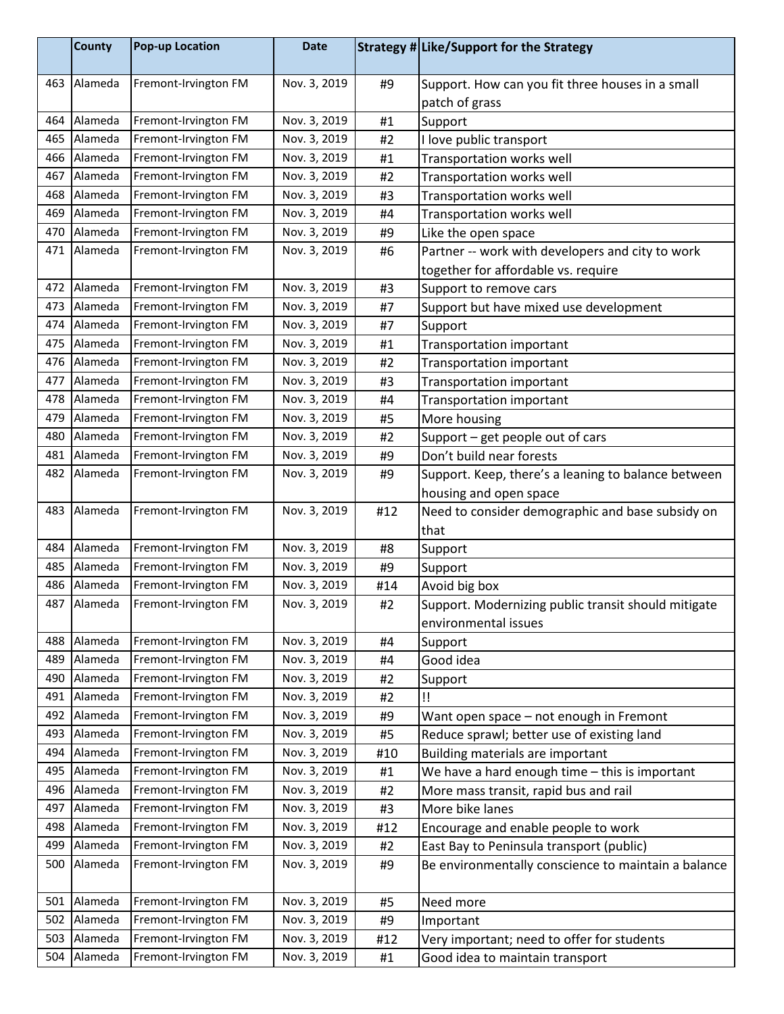|     | <b>County</b> | <b>Pop-up Location</b> | <b>Date</b>  |     | Strategy # Like/Support for the Strategy                                    |
|-----|---------------|------------------------|--------------|-----|-----------------------------------------------------------------------------|
| 463 | Alameda       | Fremont-Irvington FM   | Nov. 3, 2019 | #9  | Support. How can you fit three houses in a small<br>patch of grass          |
| 464 | Alameda       | Fremont-Irvington FM   | Nov. 3, 2019 | #1  | Support                                                                     |
| 465 | Alameda       | Fremont-Irvington FM   | Nov. 3, 2019 | #2  | I love public transport                                                     |
| 466 | Alameda       | Fremont-Irvington FM   | Nov. 3, 2019 | #1  | Transportation works well                                                   |
| 467 | Alameda       | Fremont-Irvington FM   | Nov. 3, 2019 | #2  | Transportation works well                                                   |
| 468 | Alameda       | Fremont-Irvington FM   | Nov. 3, 2019 | #3  | Transportation works well                                                   |
| 469 | Alameda       | Fremont-Irvington FM   | Nov. 3, 2019 | #4  | Transportation works well                                                   |
| 470 | Alameda       | Fremont-Irvington FM   | Nov. 3, 2019 | #9  | Like the open space                                                         |
| 471 | Alameda       | Fremont-Irvington FM   | Nov. 3, 2019 | #6  | Partner -- work with developers and city to work                            |
|     |               |                        |              |     | together for affordable vs. require                                         |
| 472 | Alameda       | Fremont-Irvington FM   | Nov. 3, 2019 | #3  | Support to remove cars                                                      |
| 473 | Alameda       | Fremont-Irvington FM   | Nov. 3, 2019 | #7  | Support but have mixed use development                                      |
| 474 | Alameda       | Fremont-Irvington FM   | Nov. 3, 2019 | #7  | Support                                                                     |
| 475 | Alameda       | Fremont-Irvington FM   | Nov. 3, 2019 | #1  | Transportation important                                                    |
| 476 | Alameda       | Fremont-Irvington FM   | Nov. 3, 2019 | #2  | Transportation important                                                    |
| 477 | Alameda       | Fremont-Irvington FM   | Nov. 3, 2019 | #3  | <b>Transportation important</b>                                             |
| 478 | Alameda       | Fremont-Irvington FM   | Nov. 3, 2019 | #4  | <b>Transportation important</b>                                             |
| 479 | Alameda       | Fremont-Irvington FM   | Nov. 3, 2019 | #5  | More housing                                                                |
| 480 | Alameda       | Fremont-Irvington FM   | Nov. 3, 2019 | #2  | Support - get people out of cars                                            |
| 481 | Alameda       | Fremont-Irvington FM   | Nov. 3, 2019 | #9  | Don't build near forests                                                    |
| 482 | Alameda       | Fremont-Irvington FM   | Nov. 3, 2019 | #9  | Support. Keep, there's a leaning to balance between                         |
|     |               |                        |              |     | housing and open space                                                      |
| 483 | Alameda       | Fremont-Irvington FM   | Nov. 3, 2019 | #12 | Need to consider demographic and base subsidy on                            |
|     |               |                        |              |     | that                                                                        |
| 484 | Alameda       | Fremont-Irvington FM   | Nov. 3, 2019 | #8  | Support                                                                     |
| 485 | Alameda       | Fremont-Irvington FM   | Nov. 3, 2019 | #9  | Support                                                                     |
| 486 | Alameda       | Fremont-Irvington FM   | Nov. 3, 2019 | #14 | Avoid big box                                                               |
| 487 | Alameda       | Fremont-Irvington FM   | Nov. 3, 2019 | #2  | Support. Modernizing public transit should mitigate<br>environmental issues |
| 488 | Alameda       | Fremont-Irvington FM   | Nov. 3, 2019 | #4  | Support                                                                     |
| 489 | Alameda       | Fremont-Irvington FM   | Nov. 3, 2019 | #4  | Good idea                                                                   |
| 490 | Alameda       | Fremont-Irvington FM   | Nov. 3, 2019 | #2  | Support                                                                     |
| 491 | Alameda       | Fremont-Irvington FM   | Nov. 3, 2019 | #2  | Ħ                                                                           |
| 492 | Alameda       | Fremont-Irvington FM   | Nov. 3, 2019 | #9  | Want open space - not enough in Fremont                                     |
| 493 | Alameda       | Fremont-Irvington FM   | Nov. 3, 2019 | #5  | Reduce sprawl; better use of existing land                                  |
| 494 | Alameda       | Fremont-Irvington FM   | Nov. 3, 2019 | #10 | Building materials are important                                            |
| 495 | Alameda       | Fremont-Irvington FM   | Nov. 3, 2019 | #1  | We have a hard enough time - this is important                              |
| 496 | Alameda       | Fremont-Irvington FM   | Nov. 3, 2019 | #2  | More mass transit, rapid bus and rail                                       |
| 497 | Alameda       | Fremont-Irvington FM   | Nov. 3, 2019 | #3  | More bike lanes                                                             |
| 498 | Alameda       | Fremont-Irvington FM   | Nov. 3, 2019 | #12 | Encourage and enable people to work                                         |
| 499 | Alameda       | Fremont-Irvington FM   | Nov. 3, 2019 | #2  | East Bay to Peninsula transport (public)                                    |
| 500 | Alameda       | Fremont-Irvington FM   | Nov. 3, 2019 | #9  | Be environmentally conscience to maintain a balance                         |
| 501 | Alameda       | Fremont-Irvington FM   | Nov. 3, 2019 | #5  | Need more                                                                   |
| 502 | Alameda       | Fremont-Irvington FM   | Nov. 3, 2019 | #9  | Important                                                                   |
| 503 | Alameda       | Fremont-Irvington FM   | Nov. 3, 2019 | #12 | Very important; need to offer for students                                  |
| 504 | Alameda       | Fremont-Irvington FM   | Nov. 3, 2019 | #1  | Good idea to maintain transport                                             |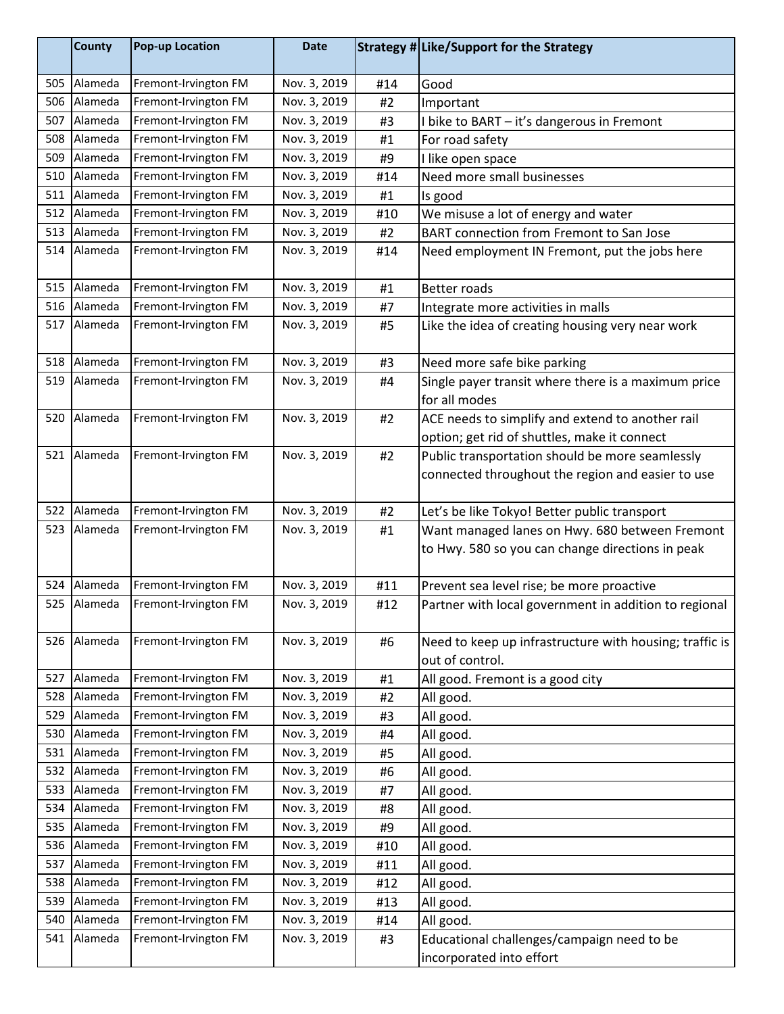|     | <b>County</b> | <b>Pop-up Location</b> | <b>Date</b>  |     | Strategy # Like/Support for the Strategy                |
|-----|---------------|------------------------|--------------|-----|---------------------------------------------------------|
| 505 | Alameda       | Fremont-Irvington FM   | Nov. 3, 2019 | #14 | Good                                                    |
| 506 | Alameda       | Fremont-Irvington FM   | Nov. 3, 2019 | #2  | Important                                               |
| 507 | Alameda       | Fremont-Irvington FM   | Nov. 3, 2019 | #3  | I bike to BART - it's dangerous in Fremont              |
| 508 | Alameda       | Fremont-Irvington FM   | Nov. 3, 2019 | #1  | For road safety                                         |
| 509 | Alameda       | Fremont-Irvington FM   | Nov. 3, 2019 | #9  | I like open space                                       |
| 510 | Alameda       | Fremont-Irvington FM   | Nov. 3, 2019 | #14 | Need more small businesses                              |
| 511 | Alameda       | Fremont-Irvington FM   | Nov. 3, 2019 | #1  | Is good                                                 |
| 512 | Alameda       | Fremont-Irvington FM   | Nov. 3, 2019 | #10 | We misuse a lot of energy and water                     |
|     | 513 Alameda   | Fremont-Irvington FM   | Nov. 3, 2019 | #2  | BART connection from Fremont to San Jose                |
| 514 | Alameda       | Fremont-Irvington FM   | Nov. 3, 2019 | #14 | Need employment IN Fremont, put the jobs here           |
| 515 | Alameda       | Fremont-Irvington FM   | Nov. 3, 2019 | #1  | <b>Better roads</b>                                     |
| 516 | Alameda       | Fremont-Irvington FM   | Nov. 3, 2019 | #7  | Integrate more activities in malls                      |
| 517 | Alameda       | Fremont-Irvington FM   | Nov. 3, 2019 | #5  | Like the idea of creating housing very near work        |
|     | 518 Alameda   | Fremont-Irvington FM   | Nov. 3, 2019 | #3  | Need more safe bike parking                             |
| 519 | Alameda       | Fremont-Irvington FM   | Nov. 3, 2019 | #4  | Single payer transit where there is a maximum price     |
|     |               |                        |              |     | for all modes                                           |
| 520 | Alameda       | Fremont-Irvington FM   | Nov. 3, 2019 | #2  | ACE needs to simplify and extend to another rail        |
|     |               |                        |              |     | option; get rid of shuttles, make it connect            |
| 521 | Alameda       | Fremont-Irvington FM   | Nov. 3, 2019 | #2  | Public transportation should be more seamlessly         |
|     |               |                        |              |     | connected throughout the region and easier to use       |
| 522 | Alameda       | Fremont-Irvington FM   | Nov. 3, 2019 | #2  | Let's be like Tokyo! Better public transport            |
| 523 | Alameda       | Fremont-Irvington FM   | Nov. 3, 2019 | #1  | Want managed lanes on Hwy. 680 between Fremont          |
|     |               |                        |              |     | to Hwy. 580 so you can change directions in peak        |
|     | 524 Alameda   | Fremont-Irvington FM   | Nov. 3, 2019 | #11 | Prevent sea level rise; be more proactive               |
|     | 525 Alameda   | Fremont-Irvington FM   | Nov. 3, 2019 | #12 | Partner with local government in addition to regional   |
| 526 | Alameda       | Fremont-Irvington FM   | Nov. 3, 2019 | #6  | Need to keep up infrastructure with housing; traffic is |
|     |               |                        |              |     | out of control.                                         |
| 527 | Alameda       | Fremont-Irvington FM   | Nov. 3, 2019 | #1  | All good. Fremont is a good city                        |
| 528 | Alameda       | Fremont-Irvington FM   | Nov. 3, 2019 | #2  | All good.                                               |
| 529 | Alameda       | Fremont-Irvington FM   | Nov. 3, 2019 | #3  | All good.                                               |
| 530 | Alameda       | Fremont-Irvington FM   | Nov. 3, 2019 | #4  | All good.                                               |
| 531 | Alameda       | Fremont-Irvington FM   | Nov. 3, 2019 | #5  | All good.                                               |
| 532 | Alameda       | Fremont-Irvington FM   | Nov. 3, 2019 | #6  | All good.                                               |
| 533 | Alameda       | Fremont-Irvington FM   | Nov. 3, 2019 | #7  | All good.                                               |
| 534 | Alameda       | Fremont-Irvington FM   | Nov. 3, 2019 | #8  | All good.                                               |
| 535 | Alameda       | Fremont-Irvington FM   | Nov. 3, 2019 | #9  | All good.                                               |
| 536 | Alameda       | Fremont-Irvington FM   | Nov. 3, 2019 | #10 | All good.                                               |
| 537 | Alameda       | Fremont-Irvington FM   | Nov. 3, 2019 | #11 | All good.                                               |
| 538 | Alameda       | Fremont-Irvington FM   | Nov. 3, 2019 | #12 | All good.                                               |
| 539 | Alameda       | Fremont-Irvington FM   | Nov. 3, 2019 | #13 | All good.                                               |
| 540 | Alameda       | Fremont-Irvington FM   | Nov. 3, 2019 | #14 | All good.                                               |
| 541 | Alameda       | Fremont-Irvington FM   | Nov. 3, 2019 | #3  | Educational challenges/campaign need to be              |
|     |               |                        |              |     | incorporated into effort                                |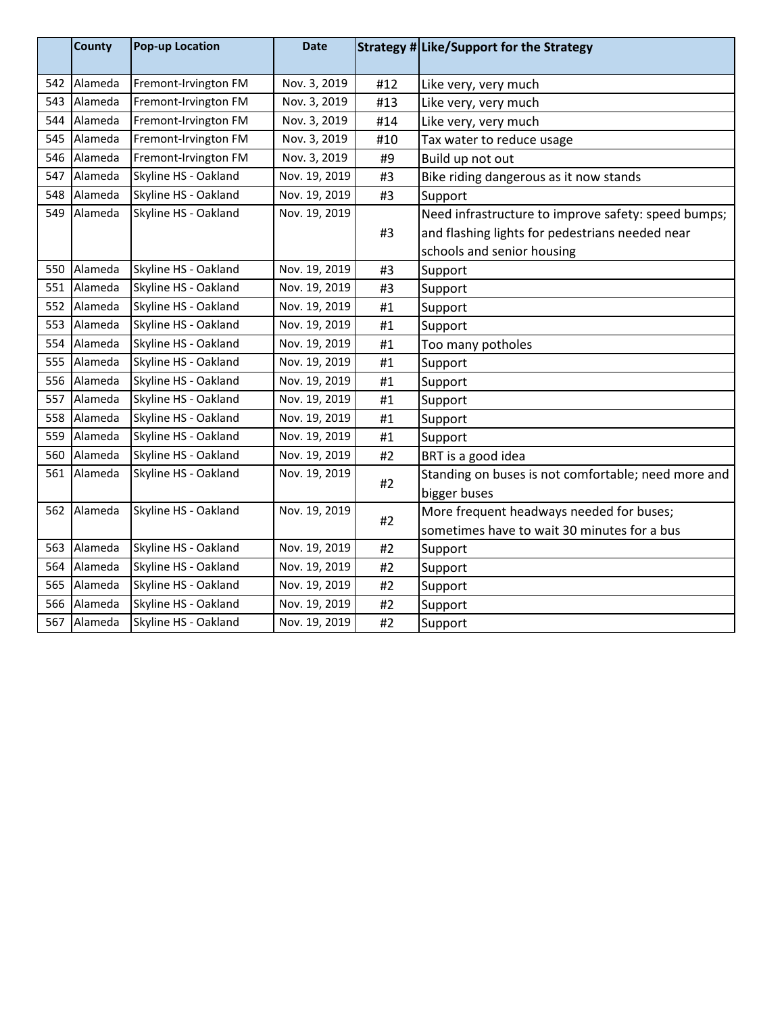|     | County  | <b>Pop-up Location</b> | <b>Date</b>   |     | Strategy # Like/Support for the Strategy            |
|-----|---------|------------------------|---------------|-----|-----------------------------------------------------|
| 542 | Alameda | Fremont-Irvington FM   | Nov. 3, 2019  | #12 | Like very, very much                                |
| 543 | Alameda | Fremont-Irvington FM   | Nov. 3, 2019  | #13 | Like very, very much                                |
| 544 | Alameda | Fremont-Irvington FM   | Nov. 3, 2019  | #14 | Like very, very much                                |
| 545 | Alameda | Fremont-Irvington FM   | Nov. 3, 2019  | #10 | Tax water to reduce usage                           |
| 546 | Alameda | Fremont-Irvington FM   | Nov. 3, 2019  | #9  | Build up not out                                    |
| 547 | Alameda | Skyline HS - Oakland   | Nov. 19, 2019 | #3  | Bike riding dangerous as it now stands              |
| 548 | Alameda | Skyline HS - Oakland   | Nov. 19, 2019 | #3  | Support                                             |
| 549 | Alameda | Skyline HS - Oakland   | Nov. 19, 2019 |     | Need infrastructure to improve safety: speed bumps; |
|     |         |                        |               | #3  | and flashing lights for pedestrians needed near     |
|     |         |                        |               |     | schools and senior housing                          |
| 550 | Alameda | Skyline HS - Oakland   | Nov. 19, 2019 | #3  | Support                                             |
| 551 | Alameda | Skyline HS - Oakland   | Nov. 19, 2019 | #3  | Support                                             |
| 552 | Alameda | Skyline HS - Oakland   | Nov. 19, 2019 | #1  | Support                                             |
| 553 | Alameda | Skyline HS - Oakland   | Nov. 19, 2019 | #1  | Support                                             |
| 554 | Alameda | Skyline HS - Oakland   | Nov. 19, 2019 | #1  | Too many potholes                                   |
| 555 | Alameda | Skyline HS - Oakland   | Nov. 19, 2019 | #1  | Support                                             |
| 556 | Alameda | Skyline HS - Oakland   | Nov. 19, 2019 | #1  | Support                                             |
| 557 | Alameda | Skyline HS - Oakland   | Nov. 19, 2019 | #1  | Support                                             |
| 558 | Alameda | Skyline HS - Oakland   | Nov. 19, 2019 | #1  | Support                                             |
| 559 | Alameda | Skyline HS - Oakland   | Nov. 19, 2019 | #1  | Support                                             |
| 560 | Alameda | Skyline HS - Oakland   | Nov. 19, 2019 | #2  | BRT is a good idea                                  |
| 561 | Alameda | Skyline HS - Oakland   | Nov. 19, 2019 | #2  | Standing on buses is not comfortable; need more and |
|     |         |                        |               |     | bigger buses                                        |
| 562 | Alameda | Skyline HS - Oakland   | Nov. 19, 2019 | #2  | More frequent headways needed for buses;            |
|     |         |                        |               |     | sometimes have to wait 30 minutes for a bus         |
| 563 | Alameda | Skyline HS - Oakland   | Nov. 19, 2019 | #2  | Support                                             |
| 564 | Alameda | Skyline HS - Oakland   | Nov. 19, 2019 | #2  | Support                                             |
| 565 | Alameda | Skyline HS - Oakland   | Nov. 19, 2019 | #2  | Support                                             |
| 566 | Alameda | Skyline HS - Oakland   | Nov. 19, 2019 | #2  | Support                                             |
| 567 | Alameda | Skyline HS - Oakland   | Nov. 19, 2019 | #2  | Support                                             |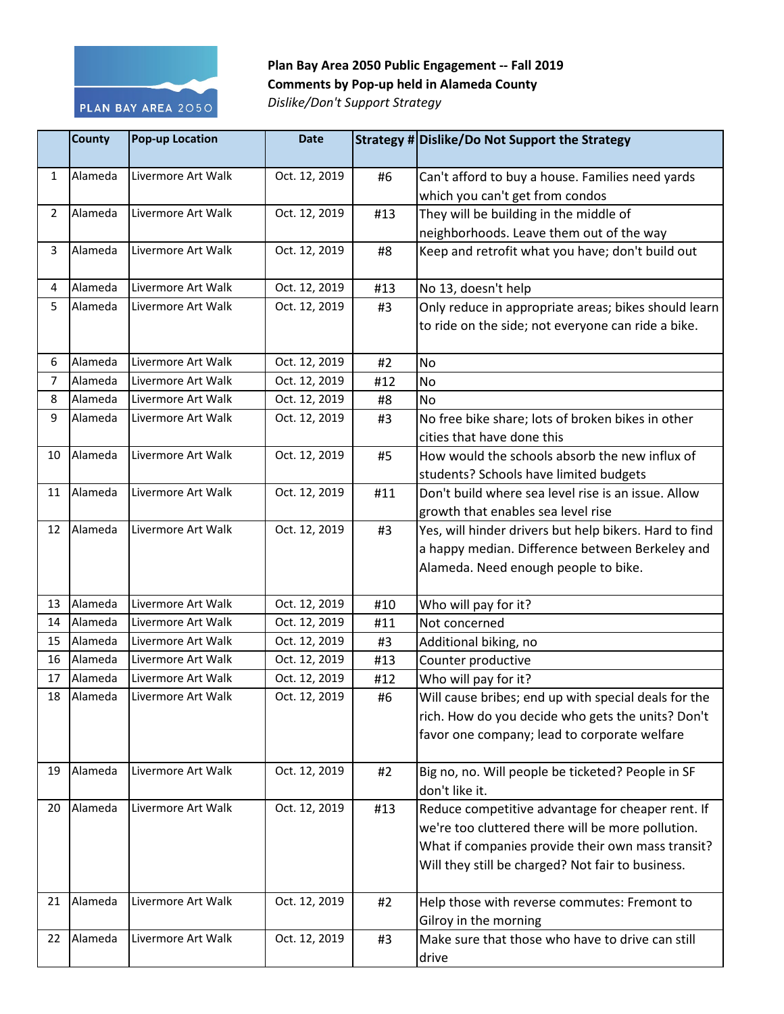

## **Plan Bay Area 2050 Public Engagement -- Fall 2019 Comments by Pop-up held in Alameda County**

*Dislike/Don't Support Strategy*

|    | <b>County</b> | <b>Pop-up Location</b> | <b>Date</b>   |     | Strategy # Dislike/Do Not Support the Strategy         |
|----|---------------|------------------------|---------------|-----|--------------------------------------------------------|
| 1  | Alameda       | Livermore Art Walk     | Oct. 12, 2019 | #6  | Can't afford to buy a house. Families need yards       |
|    |               |                        |               |     | which you can't get from condos                        |
| 2  | Alameda       | Livermore Art Walk     | Oct. 12, 2019 | #13 | They will be building in the middle of                 |
|    |               |                        |               |     | neighborhoods. Leave them out of the way               |
| 3  | Alameda       | Livermore Art Walk     | Oct. 12, 2019 | #8  | Keep and retrofit what you have; don't build out       |
| 4  | Alameda       | Livermore Art Walk     | Oct. 12, 2019 | #13 | No 13, doesn't help                                    |
| 5  | Alameda       | Livermore Art Walk     | Oct. 12, 2019 | #3  | Only reduce in appropriate areas; bikes should learn   |
|    |               |                        |               |     | to ride on the side; not everyone can ride a bike.     |
| 6  | Alameda       | Livermore Art Walk     | Oct. 12, 2019 | #2  | No                                                     |
| 7  | Alameda       | Livermore Art Walk     | Oct. 12, 2019 | #12 | No                                                     |
| 8  | Alameda       | Livermore Art Walk     | Oct. 12, 2019 | #8  | <b>No</b>                                              |
| 9  | Alameda       | Livermore Art Walk     | Oct. 12, 2019 | #3  | No free bike share; lots of broken bikes in other      |
|    |               |                        |               |     | cities that have done this                             |
| 10 | Alameda       | Livermore Art Walk     | Oct. 12, 2019 | #5  | How would the schools absorb the new influx of         |
|    |               |                        |               |     | students? Schools have limited budgets                 |
| 11 | Alameda       | Livermore Art Walk     | Oct. 12, 2019 | #11 | Don't build where sea level rise is an issue. Allow    |
|    |               |                        |               |     | growth that enables sea level rise                     |
| 12 | Alameda       | Livermore Art Walk     | Oct. 12, 2019 | #3  | Yes, will hinder drivers but help bikers. Hard to find |
|    |               |                        |               |     | a happy median. Difference between Berkeley and        |
|    |               |                        |               |     | Alameda. Need enough people to bike.                   |
| 13 | Alameda       | Livermore Art Walk     | Oct. 12, 2019 | #10 | Who will pay for it?                                   |
| 14 | Alameda       | Livermore Art Walk     | Oct. 12, 2019 | #11 | Not concerned                                          |
| 15 | Alameda       | Livermore Art Walk     | Oct. 12, 2019 | #3  | Additional biking, no                                  |
| 16 | Alameda       | Livermore Art Walk     | Oct. 12, 2019 | #13 | Counter productive                                     |
| 17 | Alameda       | Livermore Art Walk     | Oct. 12, 2019 | #12 | Who will pay for it?                                   |
| 18 | Alameda       | Livermore Art Walk     | Oct. 12, 2019 | #6  | Will cause bribes; end up with special deals for the   |
|    |               |                        |               |     | rich. How do you decide who gets the units? Don't      |
|    |               |                        |               |     | favor one company; lead to corporate welfare           |
| 19 | Alameda       | Livermore Art Walk     | Oct. 12, 2019 | #2  | Big no, no. Will people be ticketed? People in SF      |
|    |               |                        |               |     | don't like it.                                         |
| 20 | Alameda       | Livermore Art Walk     | Oct. 12, 2019 | #13 | Reduce competitive advantage for cheaper rent. If      |
|    |               |                        |               |     | we're too cluttered there will be more pollution.      |
|    |               |                        |               |     | What if companies provide their own mass transit?      |
|    |               |                        |               |     | Will they still be charged? Not fair to business.      |
| 21 | Alameda       | Livermore Art Walk     | Oct. 12, 2019 | #2  | Help those with reverse commutes: Fremont to           |
|    |               |                        |               |     | Gilroy in the morning                                  |
| 22 | Alameda       | Livermore Art Walk     | Oct. 12, 2019 | #3  | Make sure that those who have to drive can still       |
|    |               |                        |               |     | drive                                                  |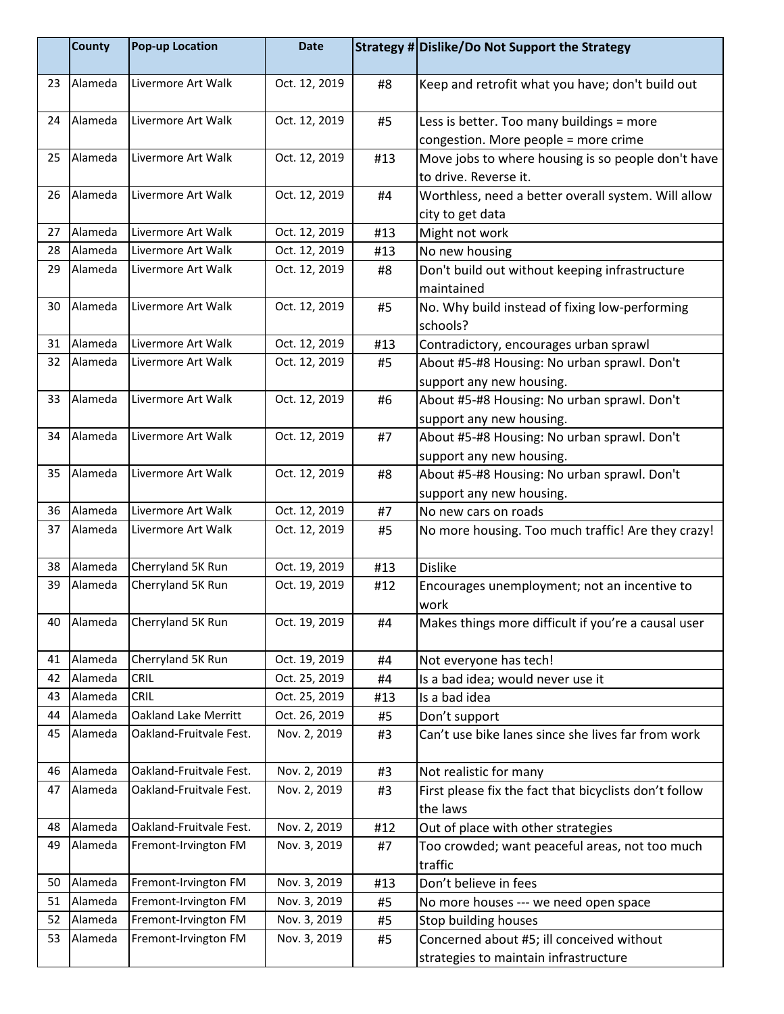|    | <b>County</b> | Pop-up Location         | <b>Date</b>   |     | Strategy # Dislike/Do Not Support the Strategy                                    |
|----|---------------|-------------------------|---------------|-----|-----------------------------------------------------------------------------------|
| 23 | Alameda       | Livermore Art Walk      | Oct. 12, 2019 | #8  | Keep and retrofit what you have; don't build out                                  |
| 24 | Alameda       | Livermore Art Walk      | Oct. 12, 2019 | #5  | Less is better. Too many buildings = more<br>congestion. More people = more crime |
| 25 | Alameda       | Livermore Art Walk      | Oct. 12, 2019 | #13 | Move jobs to where housing is so people don't have<br>to drive. Reverse it.       |
| 26 | Alameda       | Livermore Art Walk      | Oct. 12, 2019 | #4  | Worthless, need a better overall system. Will allow<br>city to get data           |
| 27 | Alameda       | Livermore Art Walk      | Oct. 12, 2019 | #13 | Might not work                                                                    |
| 28 | Alameda       | Livermore Art Walk      | Oct. 12, 2019 | #13 | No new housing                                                                    |
| 29 | Alameda       | Livermore Art Walk      | Oct. 12, 2019 | #8  | Don't build out without keeping infrastructure<br>maintained                      |
| 30 | Alameda       | Livermore Art Walk      | Oct. 12, 2019 | #5  | No. Why build instead of fixing low-performing<br>schools?                        |
| 31 | Alameda       | Livermore Art Walk      | Oct. 12, 2019 | #13 | Contradictory, encourages urban sprawl                                            |
| 32 | Alameda       | Livermore Art Walk      | Oct. 12, 2019 | #5  | About #5-#8 Housing: No urban sprawl. Don't<br>support any new housing.           |
| 33 | Alameda       | Livermore Art Walk      | Oct. 12, 2019 | #6  | About #5-#8 Housing: No urban sprawl. Don't<br>support any new housing.           |
| 34 | Alameda       | Livermore Art Walk      | Oct. 12, 2019 | #7  | About #5-#8 Housing: No urban sprawl. Don't<br>support any new housing.           |
| 35 | Alameda       | Livermore Art Walk      | Oct. 12, 2019 | #8  | About #5-#8 Housing: No urban sprawl. Don't<br>support any new housing.           |
| 36 | Alameda       | Livermore Art Walk      | Oct. 12, 2019 | #7  | No new cars on roads                                                              |
| 37 | Alameda       | Livermore Art Walk      | Oct. 12, 2019 | #5  | No more housing. Too much traffic! Are they crazy!                                |
| 38 | Alameda       | Cherryland 5K Run       | Oct. 19, 2019 | #13 | <b>Dislike</b>                                                                    |
| 39 | Alameda       | Cherryland 5K Run       | Oct. 19, 2019 | #12 | Encourages unemployment; not an incentive to<br>work                              |
| 40 | Alameda       | Cherryland 5K Run       | Oct. 19, 2019 | #4  | Makes things more difficult if you're a causal user                               |
| 41 | Alameda       | Cherryland 5K Run       | Oct. 19, 2019 | #4  | Not everyone has tech!                                                            |
| 42 | Alameda       | <b>CRIL</b>             | Oct. 25, 2019 | #4  | Is a bad idea; would never use it                                                 |
| 43 | Alameda       | <b>CRIL</b>             | Oct. 25, 2019 | #13 | Is a bad idea                                                                     |
| 44 | Alameda       | Oakland Lake Merritt    | Oct. 26, 2019 | #5  | Don't support                                                                     |
| 45 | Alameda       | Oakland-Fruitvale Fest. | Nov. 2, 2019  | #3  | Can't use bike lanes since she lives far from work                                |
| 46 | Alameda       | Oakland-Fruitvale Fest. | Nov. 2, 2019  | #3  | Not realistic for many                                                            |
| 47 | Alameda       | Oakland-Fruitvale Fest. | Nov. 2, 2019  | #3  | First please fix the fact that bicyclists don't follow<br>the laws                |
| 48 | Alameda       | Oakland-Fruitvale Fest. | Nov. 2, 2019  | #12 | Out of place with other strategies                                                |
| 49 | Alameda       | Fremont-Irvington FM    | Nov. 3, 2019  | #7  | Too crowded; want peaceful areas, not too much<br>traffic                         |
| 50 | Alameda       | Fremont-Irvington FM    | Nov. 3, 2019  | #13 | Don't believe in fees                                                             |
| 51 | Alameda       | Fremont-Irvington FM    | Nov. 3, 2019  | #5  | No more houses --- we need open space                                             |
| 52 | Alameda       | Fremont-Irvington FM    | Nov. 3, 2019  | #5  | <b>Stop building houses</b>                                                       |
| 53 | Alameda       | Fremont-Irvington FM    | Nov. 3, 2019  | #5  | Concerned about #5; ill conceived without                                         |
|    |               |                         |               |     | strategies to maintain infrastructure                                             |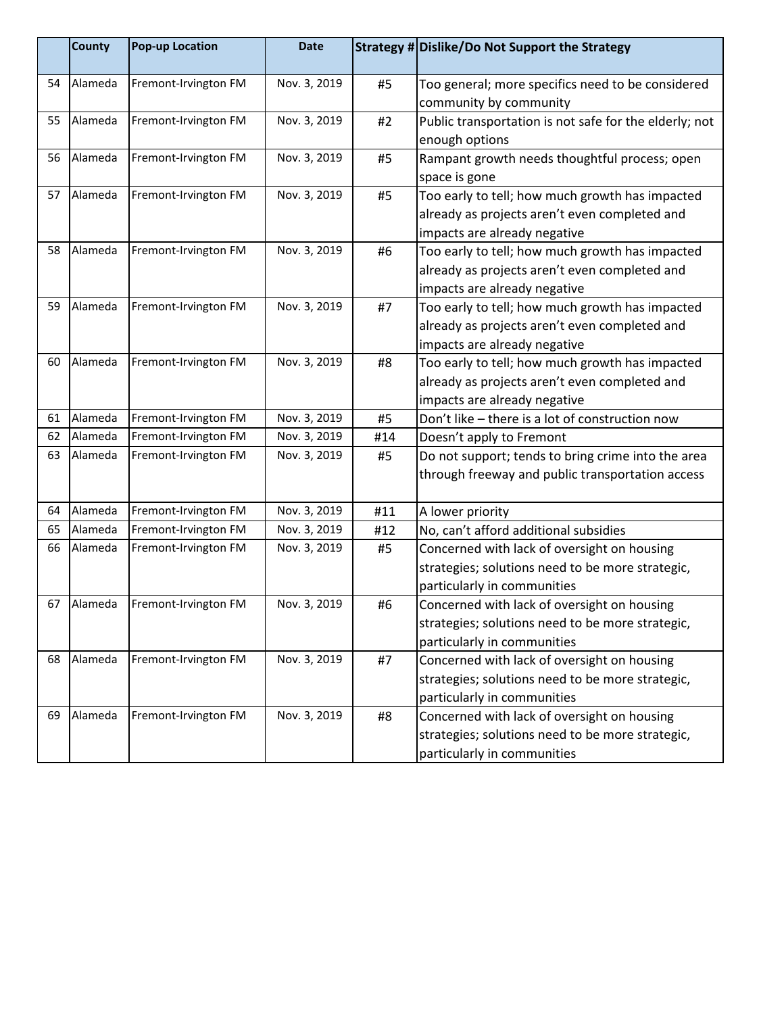|    | County  | <b>Pop-up Location</b> | <b>Date</b>  |     | Strategy # Dislike/Do Not Support the Strategy                                                                                   |
|----|---------|------------------------|--------------|-----|----------------------------------------------------------------------------------------------------------------------------------|
| 54 | Alameda | Fremont-Irvington FM   | Nov. 3, 2019 | #5  | Too general; more specifics need to be considered<br>community by community                                                      |
| 55 | Alameda | Fremont-Irvington FM   | Nov. 3, 2019 | #2  | Public transportation is not safe for the elderly; not<br>enough options                                                         |
| 56 | Alameda | Fremont-Irvington FM   | Nov. 3, 2019 | #5  | Rampant growth needs thoughtful process; open<br>space is gone                                                                   |
| 57 | Alameda | Fremont-Irvington FM   | Nov. 3, 2019 | #5  | Too early to tell; how much growth has impacted<br>already as projects aren't even completed and<br>impacts are already negative |
| 58 | Alameda | Fremont-Irvington FM   | Nov. 3, 2019 | #6  | Too early to tell; how much growth has impacted<br>already as projects aren't even completed and<br>impacts are already negative |
| 59 | Alameda | Fremont-Irvington FM   | Nov. 3, 2019 | #7  | Too early to tell; how much growth has impacted<br>already as projects aren't even completed and<br>impacts are already negative |
| 60 | Alameda | Fremont-Irvington FM   | Nov. 3, 2019 | #8  | Too early to tell; how much growth has impacted<br>already as projects aren't even completed and<br>impacts are already negative |
| 61 | Alameda | Fremont-Irvington FM   | Nov. 3, 2019 | #5  | Don't like - there is a lot of construction now                                                                                  |
| 62 | Alameda | Fremont-Irvington FM   | Nov. 3, 2019 | #14 | Doesn't apply to Fremont                                                                                                         |
| 63 | Alameda | Fremont-Irvington FM   | Nov. 3, 2019 | #5  | Do not support; tends to bring crime into the area<br>through freeway and public transportation access                           |
| 64 | Alameda | Fremont-Irvington FM   | Nov. 3, 2019 | #11 | A lower priority                                                                                                                 |
| 65 | Alameda | Fremont-Irvington FM   | Nov. 3, 2019 | #12 | No, can't afford additional subsidies                                                                                            |
| 66 | Alameda | Fremont-Irvington FM   | Nov. 3, 2019 | #5  | Concerned with lack of oversight on housing<br>strategies; solutions need to be more strategic,<br>particularly in communities   |
| 67 | Alameda | Fremont-Irvington FM   | Nov. 3, 2019 | #6  | Concerned with lack of oversight on housing<br>strategies; solutions need to be more strategic,<br>particularly in communities   |
| 68 | Alameda | Fremont-Irvington FM   | Nov. 3, 2019 | #7  | Concerned with lack of oversight on housing<br>strategies; solutions need to be more strategic,<br>particularly in communities   |
| 69 | Alameda | Fremont-Irvington FM   | Nov. 3, 2019 | #8  | Concerned with lack of oversight on housing<br>strategies; solutions need to be more strategic,<br>particularly in communities   |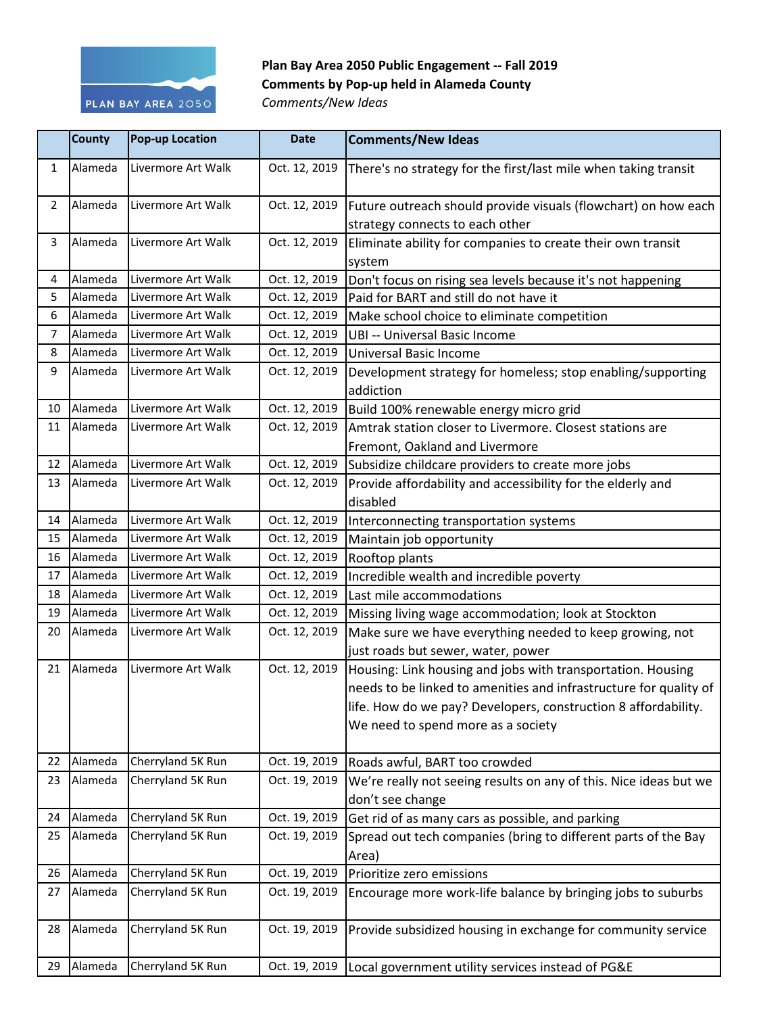

## **Plan Bay Area 2050 Public Engagement -- Fall 2019 Comments by Pop-up held in Alameda County**

*Comments/New Ideas*

|                | <b>County</b> | <b>Pop-up Location</b> | <b>Date</b>   | <b>Comments/New Ideas</b>                                                                         |
|----------------|---------------|------------------------|---------------|---------------------------------------------------------------------------------------------------|
| $\mathbf{1}$   | Alameda       | Livermore Art Walk     | Oct. 12, 2019 | There's no strategy for the first/last mile when taking transit                                   |
| $\overline{2}$ | Alameda       | Livermore Art Walk     | Oct. 12, 2019 | Future outreach should provide visuals (flowchart) on how each<br>strategy connects to each other |
| 3              | Alameda       | Livermore Art Walk     | Oct. 12, 2019 | Eliminate ability for companies to create their own transit<br>system                             |
| 4              | Alameda       | Livermore Art Walk     | Oct. 12, 2019 | Don't focus on rising sea levels because it's not happening                                       |
| 5              | Alameda       | Livermore Art Walk     | Oct. 12, 2019 | Paid for BART and still do not have it                                                            |
| 6              | Alameda       | Livermore Art Walk     | Oct. 12, 2019 | Make school choice to eliminate competition                                                       |
| 7              | Alameda       | Livermore Art Walk     | Oct. 12, 2019 | <b>UBI -- Universal Basic Income</b>                                                              |
| 8              | Alameda       | Livermore Art Walk     | Oct. 12, 2019 | Universal Basic Income                                                                            |
| 9              | Alameda       | Livermore Art Walk     | Oct. 12, 2019 | Development strategy for homeless; stop enabling/supporting<br>addiction                          |
| 10             | Alameda       | Livermore Art Walk     | Oct. 12, 2019 | Build 100% renewable energy micro grid                                                            |
| 11             | Alameda       | Livermore Art Walk     | Oct. 12, 2019 | Amtrak station closer to Livermore. Closest stations are                                          |
|                |               |                        |               | Fremont, Oakland and Livermore                                                                    |
| 12             | Alameda       | Livermore Art Walk     | Oct. 12, 2019 | Subsidize childcare providers to create more jobs                                                 |
| 13             | Alameda       | Livermore Art Walk     | Oct. 12, 2019 | Provide affordability and accessibility for the elderly and                                       |
|                |               |                        |               | disabled                                                                                          |
| 14             | Alameda       | Livermore Art Walk     | Oct. 12, 2019 | Interconnecting transportation systems                                                            |
| 15             | Alameda       | Livermore Art Walk     | Oct. 12, 2019 | Maintain job opportunity                                                                          |
| 16             | Alameda       | Livermore Art Walk     | Oct. 12, 2019 | Rooftop plants                                                                                    |
| 17             | Alameda       | Livermore Art Walk     | Oct. 12, 2019 | Incredible wealth and incredible poverty                                                          |
| 18             | Alameda       | Livermore Art Walk     | Oct. 12, 2019 | Last mile accommodations                                                                          |
| 19             | Alameda       | Livermore Art Walk     | Oct. 12, 2019 | Missing living wage accommodation; look at Stockton                                               |
| 20             | Alameda       | Livermore Art Walk     | Oct. 12, 2019 | Make sure we have everything needed to keep growing, not                                          |
|                |               |                        |               | just roads but sewer, water, power                                                                |
| 21             | Alameda       | Livermore Art Walk     | Oct. 12, 2019 | Housing: Link housing and jobs with transportation. Housing                                       |
|                |               |                        |               | needs to be linked to amenities and infrastructure for quality of                                 |
|                |               |                        |               | life. How do we pay? Developers, construction 8 affordability.                                    |
|                |               |                        |               | We need to spend more as a society                                                                |
| 22             | Alameda       | Cherryland 5K Run      | Oct. 19, 2019 | Roads awful, BART too crowded                                                                     |
| 23             | Alameda       | Cherryland 5K Run      | Oct. 19, 2019 | We're really not seeing results on any of this. Nice ideas but we                                 |
|                |               |                        |               | don't see change                                                                                  |
| 24             | Alameda       | Cherryland 5K Run      | Oct. 19, 2019 | Get rid of as many cars as possible, and parking                                                  |
| 25             | Alameda       | Cherryland 5K Run      | Oct. 19, 2019 | Spread out tech companies (bring to different parts of the Bay                                    |
|                |               |                        |               | Area)                                                                                             |
| 26             | Alameda       | Cherryland 5K Run      | Oct. 19, 2019 | Prioritize zero emissions                                                                         |
| 27             | Alameda       | Cherryland 5K Run      | Oct. 19, 2019 | Encourage more work-life balance by bringing jobs to suburbs                                      |
| 28             | Alameda       | Cherryland 5K Run      | Oct. 19, 2019 | Provide subsidized housing in exchange for community service                                      |
| 29             | Alameda       | Cherryland 5K Run      | Oct. 19, 2019 | Local government utility services instead of PG&E                                                 |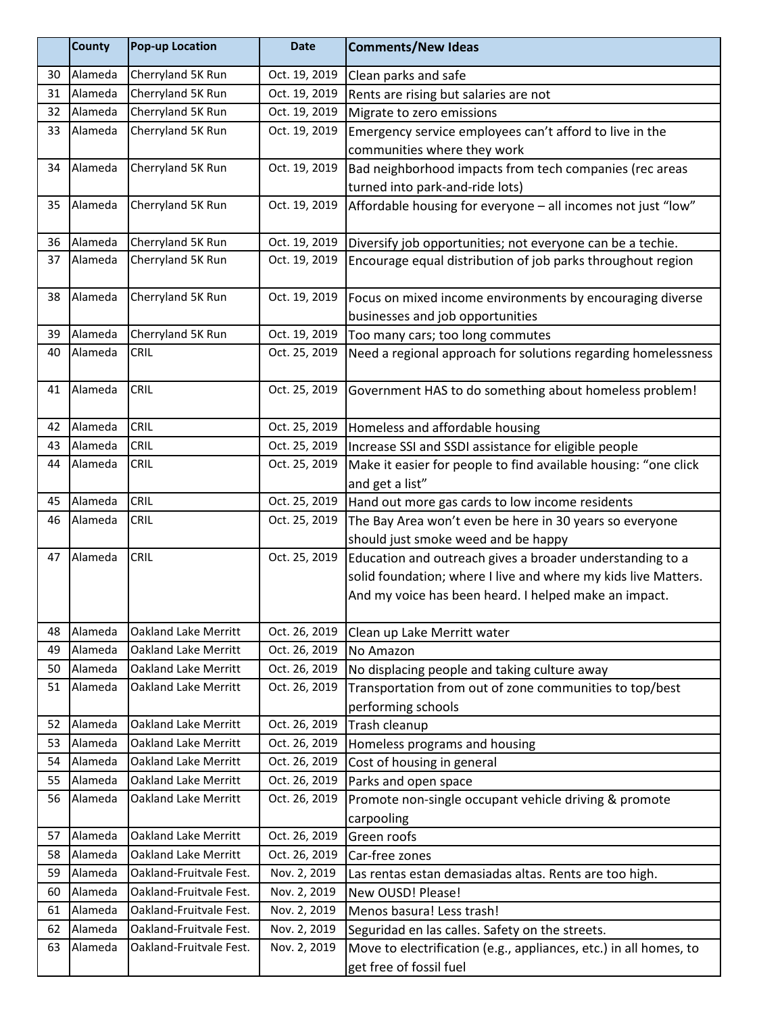|    | <b>County</b> | <b>Pop-up Location</b>      | <b>Date</b>   | <b>Comments/New Ideas</b>                                         |
|----|---------------|-----------------------------|---------------|-------------------------------------------------------------------|
| 30 | Alameda       | Cherryland 5K Run           | Oct. 19, 2019 | Clean parks and safe                                              |
| 31 | Alameda       | Cherryland 5K Run           | Oct. 19, 2019 | Rents are rising but salaries are not                             |
| 32 | Alameda       | Cherryland 5K Run           | Oct. 19, 2019 | Migrate to zero emissions                                         |
| 33 | Alameda       | Cherryland 5K Run           | Oct. 19, 2019 | Emergency service employees can't afford to live in the           |
|    |               |                             |               | communities where they work                                       |
| 34 | Alameda       | Cherryland 5K Run           | Oct. 19, 2019 | Bad neighborhood impacts from tech companies (rec areas           |
|    |               |                             |               | turned into park-and-ride lots)                                   |
| 35 | Alameda       | Cherryland 5K Run           | Oct. 19, 2019 | Affordable housing for everyone - all incomes not just "low"      |
| 36 | Alameda       | Cherryland 5K Run           | Oct. 19, 2019 | Diversify job opportunities; not everyone can be a techie.        |
| 37 | Alameda       | Cherryland 5K Run           | Oct. 19, 2019 | Encourage equal distribution of job parks throughout region       |
| 38 | Alameda       | Cherryland 5K Run           | Oct. 19, 2019 | Focus on mixed income environments by encouraging diverse         |
|    |               |                             |               | businesses and job opportunities                                  |
| 39 | Alameda       | Cherryland 5K Run           | Oct. 19, 2019 | Too many cars; too long commutes                                  |
| 40 | Alameda       | <b>CRIL</b>                 | Oct. 25, 2019 | Need a regional approach for solutions regarding homelessness     |
| 41 | Alameda       | CRIL                        | Oct. 25, 2019 | Government HAS to do something about homeless problem!            |
| 42 | Alameda       | CRIL                        | Oct. 25, 2019 | Homeless and affordable housing                                   |
| 43 | Alameda       | <b>CRIL</b>                 | Oct. 25, 2019 | Increase SSI and SSDI assistance for eligible people              |
| 44 | Alameda       | <b>CRIL</b>                 | Oct. 25, 2019 | Make it easier for people to find available housing: "one click   |
|    |               |                             |               | and get a list"                                                   |
| 45 | Alameda       | CRIL                        | Oct. 25, 2019 | Hand out more gas cards to low income residents                   |
| 46 | Alameda       | CRIL                        | Oct. 25, 2019 | The Bay Area won't even be here in 30 years so everyone           |
|    |               |                             |               | should just smoke weed and be happy                               |
| 47 | Alameda       | <b>CRIL</b>                 | Oct. 25, 2019 | Education and outreach gives a broader understanding to a         |
|    |               |                             |               | solid foundation; where I live and where my kids live Matters.    |
|    |               |                             |               | And my voice has been heard. I helped make an impact.             |
| 48 | Alameda       | <b>Oakland Lake Merritt</b> | Oct. 26, 2019 | Clean up Lake Merritt water                                       |
| 49 | Alameda       | <b>Oakland Lake Merritt</b> | Oct. 26, 2019 | No Amazon                                                         |
| 50 | Alameda       | <b>Oakland Lake Merritt</b> | Oct. 26, 2019 | No displacing people and taking culture away                      |
| 51 | Alameda       | <b>Oakland Lake Merritt</b> | Oct. 26, 2019 | Transportation from out of zone communities to top/best           |
|    |               |                             |               | performing schools                                                |
| 52 | Alameda       | <b>Oakland Lake Merritt</b> | Oct. 26, 2019 | Trash cleanup                                                     |
| 53 | Alameda       | <b>Oakland Lake Merritt</b> | Oct. 26, 2019 | Homeless programs and housing                                     |
| 54 | Alameda       | <b>Oakland Lake Merritt</b> | Oct. 26, 2019 | Cost of housing in general                                        |
| 55 | Alameda       | <b>Oakland Lake Merritt</b> | Oct. 26, 2019 | Parks and open space                                              |
| 56 | Alameda       | <b>Oakland Lake Merritt</b> | Oct. 26, 2019 | Promote non-single occupant vehicle driving & promote             |
|    |               |                             |               | carpooling                                                        |
| 57 | Alameda       | <b>Oakland Lake Merritt</b> | Oct. 26, 2019 | Green roofs                                                       |
| 58 | Alameda       | <b>Oakland Lake Merritt</b> | Oct. 26, 2019 | Car-free zones                                                    |
| 59 | Alameda       | Oakland-Fruitvale Fest.     | Nov. 2, 2019  | Las rentas estan demasiadas altas. Rents are too high.            |
| 60 | Alameda       | Oakland-Fruitvale Fest.     | Nov. 2, 2019  | New OUSD! Please!                                                 |
| 61 | Alameda       | Oakland-Fruitvale Fest.     | Nov. 2, 2019  | Menos basura! Less trash!                                         |
| 62 | Alameda       | Oakland-Fruitvale Fest.     | Nov. 2, 2019  | Seguridad en las calles. Safety on the streets.                   |
| 63 | Alameda       | Oakland-Fruitvale Fest.     | Nov. 2, 2019  | Move to electrification (e.g., appliances, etc.) in all homes, to |
|    |               |                             |               | get free of fossil fuel                                           |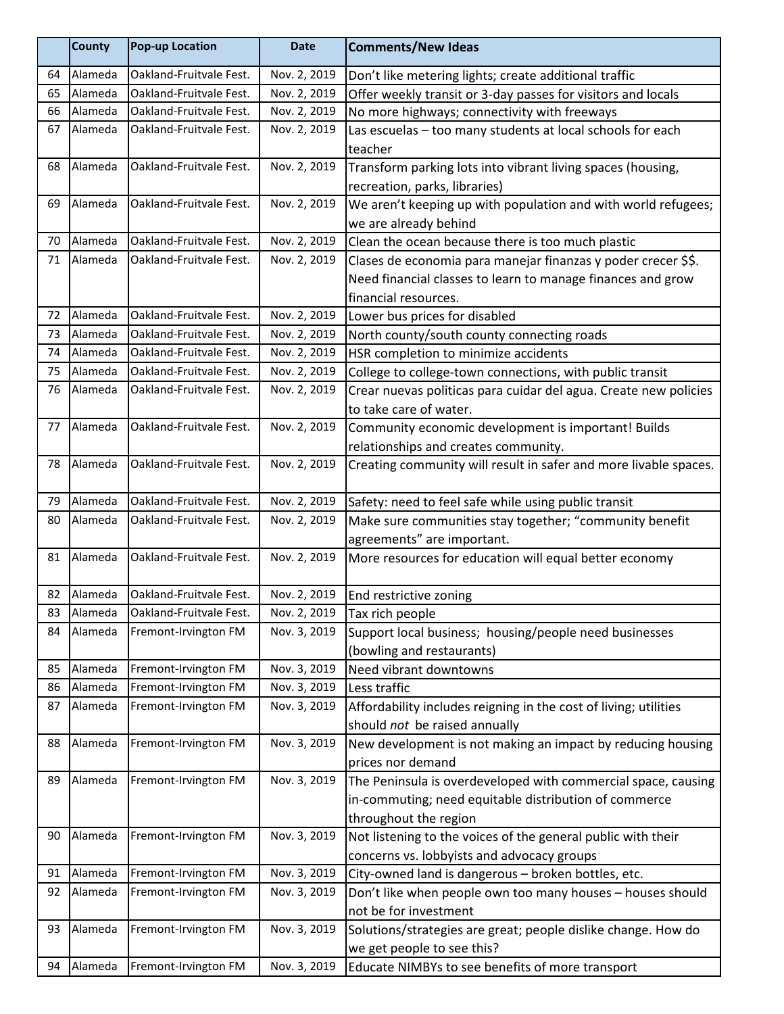|    | <b>County</b> | <b>Pop-up Location</b>  | <b>Date</b>  | <b>Comments/New Ideas</b>                                        |
|----|---------------|-------------------------|--------------|------------------------------------------------------------------|
| 64 | Alameda       | Oakland-Fruitvale Fest. | Nov. 2, 2019 | Don't like metering lights; create additional traffic            |
| 65 | Alameda       | Oakland-Fruitvale Fest. | Nov. 2, 2019 | Offer weekly transit or 3-day passes for visitors and locals     |
| 66 | Alameda       | Oakland-Fruitvale Fest. | Nov. 2, 2019 | No more highways; connectivity with freeways                     |
| 67 | Alameda       | Oakland-Fruitvale Fest. | Nov. 2, 2019 | Las escuelas - too many students at local schools for each       |
|    |               |                         |              | teacher                                                          |
| 68 | Alameda       | Oakland-Fruitvale Fest. | Nov. 2, 2019 | Transform parking lots into vibrant living spaces (housing,      |
|    |               |                         |              | recreation, parks, libraries)                                    |
| 69 | Alameda       | Oakland-Fruitvale Fest. | Nov. 2, 2019 | We aren't keeping up with population and with world refugees;    |
|    |               |                         |              | we are already behind                                            |
| 70 | Alameda       | Oakland-Fruitvale Fest. | Nov. 2, 2019 | Clean the ocean because there is too much plastic                |
| 71 | Alameda       | Oakland-Fruitvale Fest. | Nov. 2, 2019 | Clases de economia para manejar finanzas y poder crecer \$\$.    |
|    |               |                         |              | Need financial classes to learn to manage finances and grow      |
|    |               |                         |              | financial resources.                                             |
| 72 | Alameda       | Oakland-Fruitvale Fest. | Nov. 2, 2019 | Lower bus prices for disabled                                    |
| 73 | Alameda       | Oakland-Fruitvale Fest. | Nov. 2, 2019 | North county/south county connecting roads                       |
| 74 | Alameda       | Oakland-Fruitvale Fest. | Nov. 2, 2019 | HSR completion to minimize accidents                             |
| 75 | Alameda       | Oakland-Fruitvale Fest. | Nov. 2, 2019 | College to college-town connections, with public transit         |
| 76 | Alameda       | Oakland-Fruitvale Fest. | Nov. 2, 2019 | Crear nuevas politicas para cuidar del agua. Create new policies |
|    |               |                         |              | to take care of water.                                           |
| 77 | Alameda       | Oakland-Fruitvale Fest. | Nov. 2, 2019 | Community economic development is important! Builds              |
|    |               |                         |              | relationships and creates community.                             |
| 78 | Alameda       | Oakland-Fruitvale Fest. | Nov. 2, 2019 | Creating community will result in safer and more livable spaces. |
|    |               |                         |              |                                                                  |
| 79 | Alameda       | Oakland-Fruitvale Fest. | Nov. 2, 2019 | Safety: need to feel safe while using public transit             |
| 80 | Alameda       | Oakland-Fruitvale Fest. | Nov. 2, 2019 | Make sure communities stay together; "community benefit          |
|    |               |                         |              | agreements" are important.                                       |
| 81 | Alameda       | Oakland-Fruitvale Fest. | Nov. 2, 2019 | More resources for education will equal better economy           |
| 82 | Alameda       | Oakland-Fruitvale Fest. | Nov. 2, 2019 | End restrictive zoning                                           |
| 83 | Alameda       | Oakland-Fruitvale Fest. | Nov. 2, 2019 | Tax rich people                                                  |
| 84 | Alameda       | Fremont-Irvington FM    | Nov. 3, 2019 | Support local business; housing/people need businesses           |
|    |               |                         |              | (bowling and restaurants)                                        |
| 85 | Alameda       | Fremont-Irvington FM    | Nov. 3, 2019 | Need vibrant downtowns                                           |
| 86 | Alameda       | Fremont-Irvington FM    | Nov. 3, 2019 | Less traffic                                                     |
| 87 | Alameda       | Fremont-Irvington FM    | Nov. 3, 2019 | Affordability includes reigning in the cost of living; utilities |
|    |               |                         |              | should not be raised annually                                    |
| 88 | Alameda       | Fremont-Irvington FM    | Nov. 3, 2019 | New development is not making an impact by reducing housing      |
|    |               |                         |              | prices nor demand                                                |
| 89 | Alameda       | Fremont-Irvington FM    | Nov. 3, 2019 | The Peninsula is overdeveloped with commercial space, causing    |
|    |               |                         |              | in-commuting; need equitable distribution of commerce            |
|    |               |                         |              | throughout the region                                            |
| 90 | Alameda       | Fremont-Irvington FM    | Nov. 3, 2019 | Not listening to the voices of the general public with their     |
|    |               |                         |              | concerns vs. lobbyists and advocacy groups                       |
| 91 | Alameda       | Fremont-Irvington FM    | Nov. 3, 2019 | City-owned land is dangerous - broken bottles, etc.              |
| 92 | Alameda       | Fremont-Irvington FM    | Nov. 3, 2019 | Don't like when people own too many houses - houses should       |
|    |               |                         |              | not be for investment                                            |
| 93 | Alameda       | Fremont-Irvington FM    | Nov. 3, 2019 | Solutions/strategies are great; people dislike change. How do    |
|    |               |                         |              | we get people to see this?                                       |
| 94 | Alameda       | Fremont-Irvington FM    | Nov. 3, 2019 | Educate NIMBYs to see benefits of more transport                 |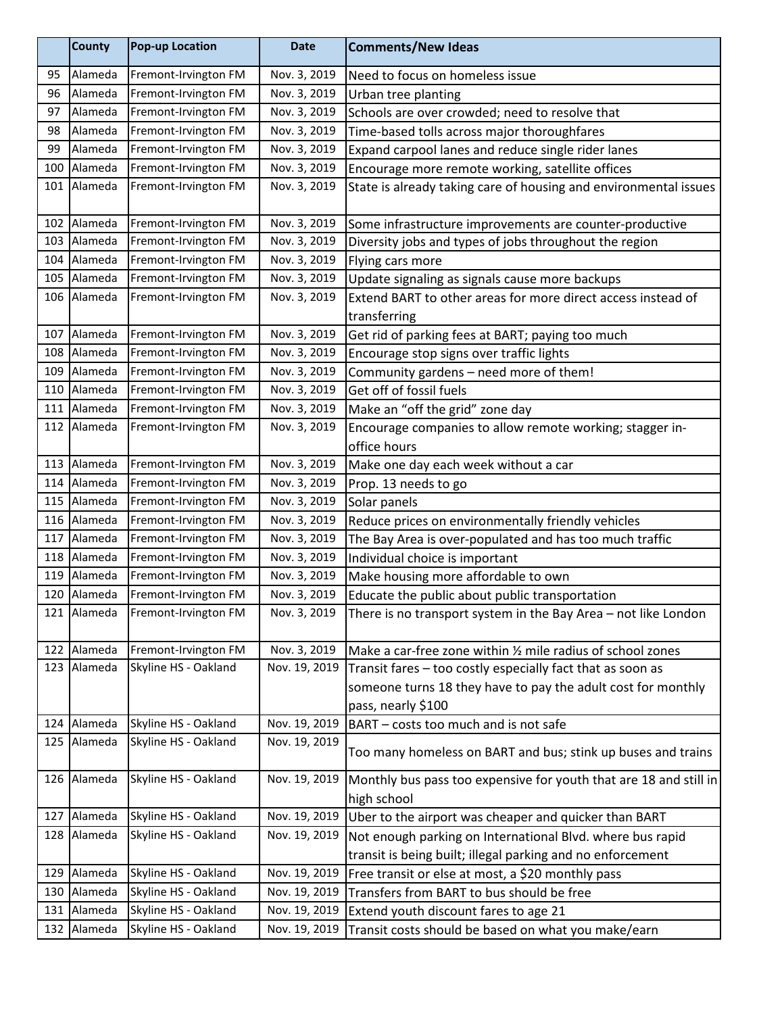|     | <b>County</b> | <b>Pop-up Location</b> | <b>Date</b>   | <b>Comments/New Ideas</b>                                         |
|-----|---------------|------------------------|---------------|-------------------------------------------------------------------|
| 95  | Alameda       | Fremont-Irvington FM   | Nov. 3, 2019  | Need to focus on homeless issue                                   |
| 96  | Alameda       | Fremont-Irvington FM   | Nov. 3, 2019  | Urban tree planting                                               |
| 97  | Alameda       | Fremont-Irvington FM   | Nov. 3, 2019  | Schools are over crowded; need to resolve that                    |
| 98  | Alameda       | Fremont-Irvington FM   | Nov. 3, 2019  | Time-based tolls across major thoroughfares                       |
| 99  | Alameda       | Fremont-Irvington FM   | Nov. 3, 2019  | Expand carpool lanes and reduce single rider lanes                |
| 100 | Alameda       | Fremont-Irvington FM   | Nov. 3, 2019  | Encourage more remote working, satellite offices                  |
|     | 101 Alameda   | Fremont-Irvington FM   | Nov. 3, 2019  | State is already taking care of housing and environmental issues  |
|     | 102 Alameda   | Fremont-Irvington FM   | Nov. 3, 2019  | Some infrastructure improvements are counter-productive           |
| 103 | Alameda       | Fremont-Irvington FM   | Nov. 3, 2019  | Diversity jobs and types of jobs throughout the region            |
| 104 | Alameda       | Fremont-Irvington FM   | Nov. 3, 2019  | Flying cars more                                                  |
|     | 105 Alameda   | Fremont-Irvington FM   | Nov. 3, 2019  | Update signaling as signals cause more backups                    |
|     | 106 Alameda   | Fremont-Irvington FM   | Nov. 3, 2019  | Extend BART to other areas for more direct access instead of      |
|     |               |                        |               | transferring                                                      |
|     | 107 Alameda   | Fremont-Irvington FM   | Nov. 3, 2019  | Get rid of parking fees at BART; paying too much                  |
| 108 | Alameda       | Fremont-Irvington FM   | Nov. 3, 2019  | Encourage stop signs over traffic lights                          |
| 109 | Alameda       | Fremont-Irvington FM   | Nov. 3, 2019  | Community gardens - need more of them!                            |
| 110 | Alameda       | Fremont-Irvington FM   | Nov. 3, 2019  | Get off of fossil fuels                                           |
|     | 111 Alameda   | Fremont-Irvington FM   | Nov. 3, 2019  | Make an "off the grid" zone day                                   |
|     | 112 Alameda   | Fremont-Irvington FM   | Nov. 3, 2019  | Encourage companies to allow remote working; stagger in-          |
|     |               |                        |               | office hours                                                      |
|     | 113 Alameda   | Fremont-Irvington FM   | Nov. 3, 2019  | Make one day each week without a car                              |
| 114 | Alameda       | Fremont-Irvington FM   | Nov. 3, 2019  | Prop. 13 needs to go                                              |
| 115 | Alameda       | Fremont-Irvington FM   | Nov. 3, 2019  | Solar panels                                                      |
|     | 116 Alameda   | Fremont-Irvington FM   | Nov. 3, 2019  | Reduce prices on environmentally friendly vehicles                |
|     | 117 Alameda   | Fremont-Irvington FM   | Nov. 3, 2019  | The Bay Area is over-populated and has too much traffic           |
| 118 | Alameda       | Fremont-Irvington FM   | Nov. 3, 2019  | Individual choice is important                                    |
| 119 | Alameda       | Fremont-Irvington FM   | Nov. 3, 2019  | Make housing more affordable to own                               |
| 120 | Alameda       | Fremont-Irvington FM   | Nov. 3, 2019  | Educate the public about public transportation                    |
|     | 121   Alameda | Fremont-Irvington FM   | Nov. 3, 2019  | There is no transport system in the Bay Area – not like London    |
| 122 | Alameda       | Fremont-Irvington FM   | Nov. 3, 2019  | Make a car-free zone within 1/2 mile radius of school zones       |
| 123 | Alameda       | Skyline HS - Oakland   | Nov. 19, 2019 | Transit fares - too costly especially fact that as soon as        |
|     |               |                        |               | someone turns 18 they have to pay the adult cost for monthly      |
|     |               |                        |               | pass, nearly \$100                                                |
|     | 124 Alameda   | Skyline HS - Oakland   | Nov. 19, 2019 | BART - costs too much and is not safe                             |
|     | 125 Alameda   | Skyline HS - Oakland   | Nov. 19, 2019 | Too many homeless on BART and bus; stink up buses and trains      |
|     | 126 Alameda   | Skyline HS - Oakland   | Nov. 19, 2019 | Monthly bus pass too expensive for youth that are 18 and still in |
|     |               |                        |               | high school                                                       |
| 127 | Alameda       | Skyline HS - Oakland   | Nov. 19, 2019 | Uber to the airport was cheaper and quicker than BART             |
| 128 | Alameda       | Skyline HS - Oakland   | Nov. 19, 2019 | Not enough parking on International Blvd. where bus rapid         |
|     |               |                        |               | transit is being built; illegal parking and no enforcement        |
| 129 | Alameda       | Skyline HS - Oakland   | Nov. 19, 2019 | Free transit or else at most, a \$20 monthly pass                 |
| 130 | Alameda       | Skyline HS - Oakland   | Nov. 19, 2019 | Transfers from BART to bus should be free                         |
| 131 | Alameda       | Skyline HS - Oakland   | Nov. 19, 2019 | Extend youth discount fares to age 21                             |
|     | 132 Alameda   | Skyline HS - Oakland   | Nov. 19, 2019 | Transit costs should be based on what you make/earn               |